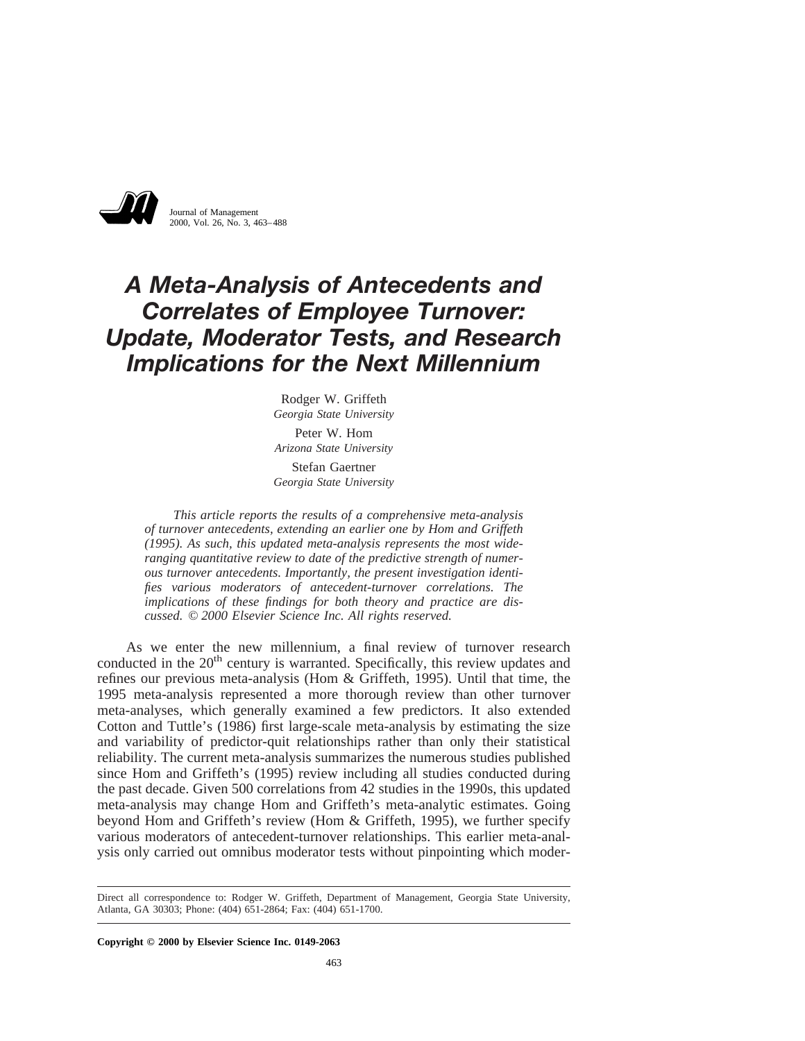

# *A Meta-Analysis of Antecedents and Correlates of Employee Turnover: Update, Moderator Tests, and Research Implications for the Next Millennium*

Rodger W. Griffeth *Georgia State University* Peter W. Hom *Arizona State University*

Stefan Gaertner *Georgia State University*

*This article reports the results of a comprehensive meta-analysis of turnover antecedents, extending an earlier one by Hom and Griffeth (1995). As such, this updated meta-analysis represents the most wideranging quantitative review to date of the predictive strength of numerous turnover antecedents. Importantly, the present investigation identifies various moderators of antecedent-turnover correlations. The implications of these findings for both theory and practice are discussed. © 2000 Elsevier Science Inc. All rights reserved.*

As we enter the new millennium, a final review of turnover research conducted in the 20<sup>th</sup> century is warranted. Specifically, this review updates and refines our previous meta-analysis (Hom & Griffeth, 1995). Until that time, the 1995 meta-analysis represented a more thorough review than other turnover meta-analyses, which generally examined a few predictors. It also extended Cotton and Tuttle's (1986) first large-scale meta-analysis by estimating the size and variability of predictor-quit relationships rather than only their statistical reliability. The current meta-analysis summarizes the numerous studies published since Hom and Griffeth's (1995) review including all studies conducted during the past decade. Given 500 correlations from 42 studies in the 1990s, this updated meta-analysis may change Hom and Griffeth's meta-analytic estimates. Going beyond Hom and Griffeth's review (Hom & Griffeth, 1995), we further specify various moderators of antecedent-turnover relationships. This earlier meta-analysis only carried out omnibus moderator tests without pinpointing which moder-

Direct all correspondence to: Rodger W. Griffeth, Department of Management, Georgia State University, Atlanta, GA 30303; Phone: (404) 651-2864; Fax: (404) 651-1700.

**Copyright © 2000 by Elsevier Science Inc. 0149-2063**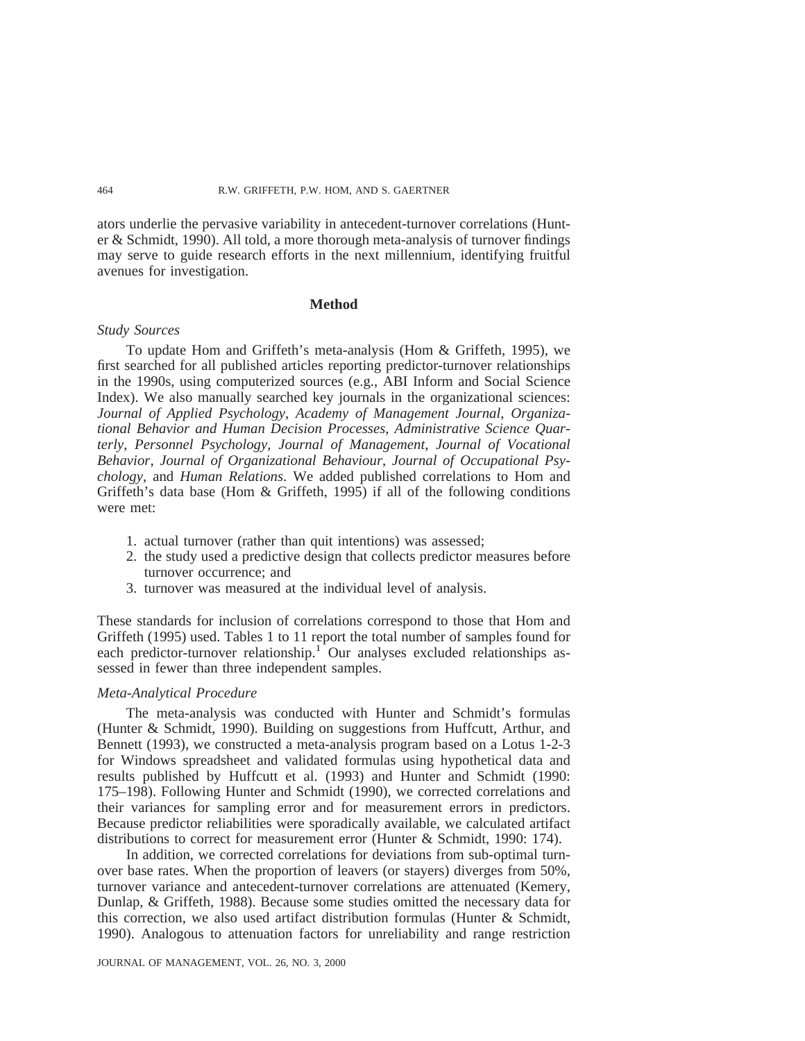ators underlie the pervasive variability in antecedent-turnover correlations (Hunter & Schmidt, 1990). All told, a more thorough meta-analysis of turnover findings may serve to guide research efforts in the next millennium, identifying fruitful avenues for investigation.

## **Method**

## *Study Sources*

To update Hom and Griffeth's meta-analysis (Hom & Griffeth, 1995), we first searched for all published articles reporting predictor-turnover relationships in the 1990s, using computerized sources (e.g., ABI Inform and Social Science Index). We also manually searched key journals in the organizational sciences: *Journal of Applied Psychology*, *Academy of Management Journal*, *Organizational Behavior and Human Decision Processes*, *Administrative Science Quarterly*, *Personnel Psychology*, *Journal of Management*, *Journal of Vocational Behavior*, *Journal of Organizational Behaviour*, *Journal of Occupational Psychology*, and *Human Relations*. We added published correlations to Hom and Griffeth's data base (Hom & Griffeth, 1995) if all of the following conditions were met:

- 1. actual turnover (rather than quit intentions) was assessed;
- 2. the study used a predictive design that collects predictor measures before turnover occurrence; and
- 3. turnover was measured at the individual level of analysis.

These standards for inclusion of correlations correspond to those that Hom and Griffeth (1995) used. Tables 1 to 11 report the total number of samples found for each predictor-turnover relationship.<sup>1</sup> Our analyses excluded relationships assessed in fewer than three independent samples.

## *Meta-Analytical Procedure*

The meta-analysis was conducted with Hunter and Schmidt's formulas (Hunter & Schmidt, 1990). Building on suggestions from Huffcutt, Arthur, and Bennett (1993), we constructed a meta-analysis program based on a Lotus 1-2-3 for Windows spreadsheet and validated formulas using hypothetical data and results published by Huffcutt et al. (1993) and Hunter and Schmidt (1990: 175–198). Following Hunter and Schmidt (1990), we corrected correlations and their variances for sampling error and for measurement errors in predictors. Because predictor reliabilities were sporadically available, we calculated artifact distributions to correct for measurement error (Hunter & Schmidt, 1990: 174).

In addition, we corrected correlations for deviations from sub-optimal turnover base rates. When the proportion of leavers (or stayers) diverges from 50%, turnover variance and antecedent-turnover correlations are attenuated (Kemery, Dunlap, & Griffeth, 1988). Because some studies omitted the necessary data for this correction, we also used artifact distribution formulas (Hunter & Schmidt, 1990). Analogous to attenuation factors for unreliability and range restriction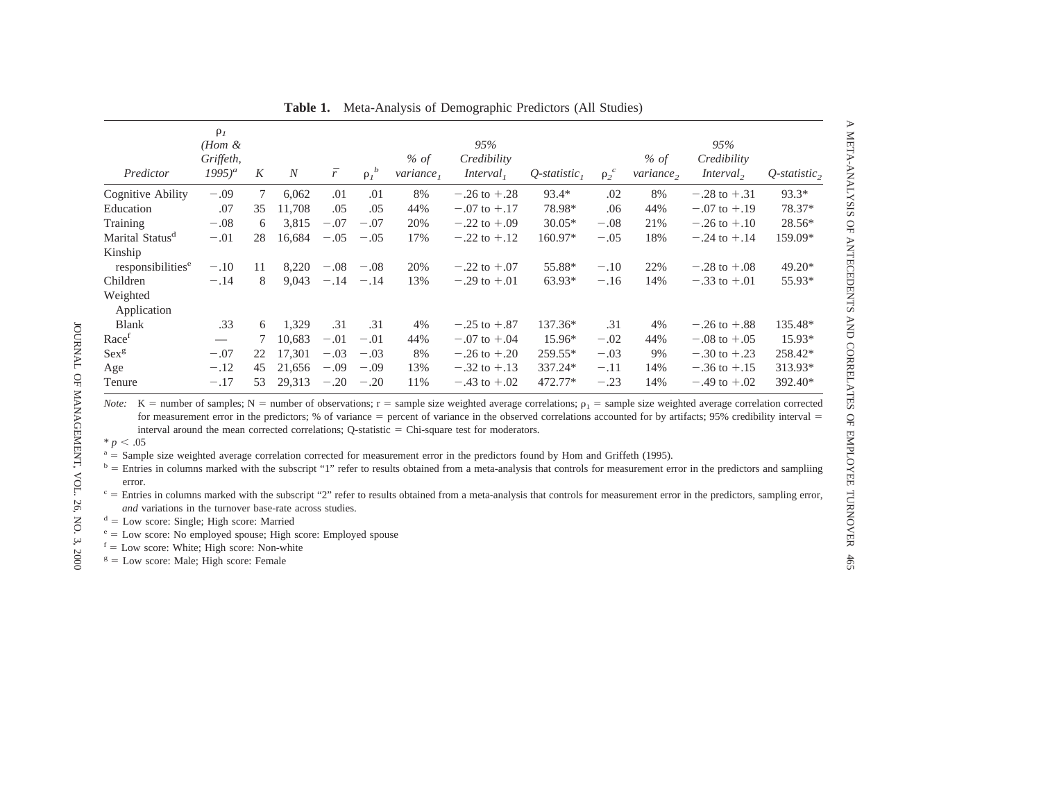| Predictor                     | $\rho_I$<br>$(Hom \&$<br>Griffeth,<br>$1995)^{a}$ | K  | $\boldsymbol{N}$ | $\bar{r}$ | $\rho_I^b$ | % of<br>variance <sub>i</sub> | 95%<br>Credibility<br>Interval, | $Q$ -statistic, | $\rho_2^c$ | $%$ of<br>variance, | 95%<br>Credibility<br>Interval, | $Q$ -statistic, |
|-------------------------------|---------------------------------------------------|----|------------------|-----------|------------|-------------------------------|---------------------------------|-----------------|------------|---------------------|---------------------------------|-----------------|
| Cognitive Ability             | $-.09$                                            | 7  | 6,062            | .01       | .01        | 8%                            | $-.26$ to $+.28$                | $93.4*$         | .02        | 8%                  | $-.28$ to $+.31$                | $93.3*$         |
| Education                     | .07                                               | 35 | 11,708           | .05       | .05        | 44%                           | $-.07$ to $+.17$                | 78.98*          | .06        | 44%                 | $-.07$ to $+.19$                | 78.37*          |
| Training                      | $-.08$                                            | 6  | 3,815            | $-.07$    | $-.07$     | 20%                           | $-.22$ to $+.09$                | $30.05*$        | $-.08$     | 21%                 | $-.26$ to $+.10$                | 28.56*          |
| Marital Status <sup>d</sup>   | $-.01$                                            | 28 | 16.684           | $-.05$    | $-.05$     | 17%                           | $-.22$ to $+.12$                | 160.97*         | $-.05$     | 18%                 | $-.24$ to $+.14$                | 159.09*         |
| Kinship                       |                                                   |    |                  |           |            |                               |                                 |                 |            |                     |                                 |                 |
| responsibilities <sup>e</sup> | $-.10$                                            | 11 | 8,220            | $-.08$    | $-.08$     | 20%                           | $-.22$ to $+.07$                | 55.88*          | $-.10$     | 22%                 | $-.28$ to $+.08$                | $49.20*$        |
| Children                      | $-.14$                                            | 8  | 9.043            | $-.14$    | $-.14$     | 13%                           | $-.29$ to $+.01$                | $63.93*$        | $-.16$     | 14%                 | $-.33$ to $+.01$                | 55.93*          |
| Weighted                      |                                                   |    |                  |           |            |                               |                                 |                 |            |                     |                                 |                 |
| Application                   |                                                   |    |                  |           |            |                               |                                 |                 |            |                     |                                 |                 |
| <b>Blank</b>                  | .33                                               | 6  | 1.329            | .31       | .31        | 4%                            | $-.25$ to $+.87$                | 137.36*         | .31        | 4%                  | $-.26$ to $+.88$                | 135.48*         |
| Race <sup>f</sup>             |                                                   |    | 10.683           | $-.01$    | $-.01$     | 44%                           | $-.07$ to $+.04$                | 15.96*          | $-.02$     | 44%                 | $-.08$ to $+.05$                | $15.93*$        |
| Sex <sup>g</sup>              | $-.07$                                            | 22 | 17.301           | $-.03$    | $-.03$     | 8%                            | $-.26$ to $+.20$                | 259.55*         | $-.03$     | 9%                  | $-.30$ to $+.23$                | 258.42*         |
| Age                           | $-.12$                                            | 45 | 21,656           | $-.09$    | $-.09$     | 13%                           | $-.32$ to $+.13$                | 337.24*         | $-.11$     | 14%                 | $-.36$ to $+.15$                | 313.93*         |
| Tenure                        | $-.17$                                            | 53 | 29,313           | $-.20$    | $-.20$     | 11%                           | $-.43$ to $+.02$                | 472.77*         | $-.23$     | 14%                 | $-.49$ to $+.02$                | 392.40*         |

**Table 1.** Meta-Analysis of Demographic Predictors (All Studies)

*Note:*  $K =$  number of samples;  $N =$  number of observations;  $r =$  sample size weighted average correlations;  $\rho_1 =$  sample size weighted average correlation corrected for measurement error in the predictors; % of variance = percent of variance in the observed correlations accounted for by artifacts; 95% credibility interval =  $\frac{1}{2}$ interval around the mean corrected correlations;  $Q$ -statistic  $=$  Chi-square test for moderators.

 $* p < .05$ <br> $h = 0.05$ 

<sup>a</sup> = Sample size weighted average correlation corrected for measurement error in the predictors found by Hom and Griffeth (1995).

 $b =$  Entries in columns marked with the subscript "1" refer to results obtained from a meta-analysis that controls for measurement error in the predictors and sampliing error.

 $c =$  Entries in columns marked with the subscript "2" refer to results obtained from a meta-analysis that controls for measurement error in the predictors, sampling error, *and* variations in the turnover base-rate across studies.

 $d =$  Low score: Single; High score: Married

 $e = Low score: No employed space; High score: Employee space$ 

 $f =$  Low score: White; High score: Non-white

 $g = Low score: Male; High score: Female$ 

 $\blacktriangleright$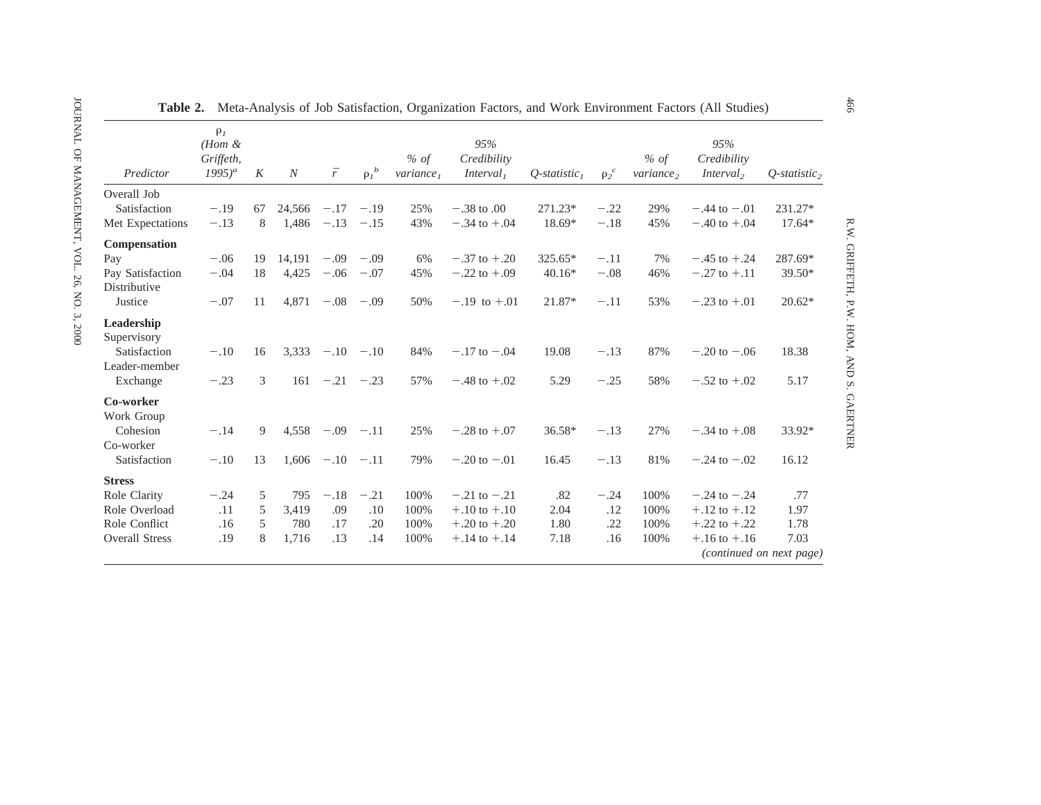| Predictor                     | $\rho_I$<br>$(Hom \&$<br>Griffeth,<br>$1995)^{a}$ | K  | $\boldsymbol{N}$ | $\bar{r}$           | $\rho_I^b$ | $%$ of<br>variance, | 95%<br>Credibility<br>Interval <sub>1</sub> | $Q$ -statistic, | $\rho_2^c$ | % of<br>variance, | 95%<br>Credibility<br><i>Interval</i> , | $Q$ -statistic, |
|-------------------------------|---------------------------------------------------|----|------------------|---------------------|------------|---------------------|---------------------------------------------|-----------------|------------|-------------------|-----------------------------------------|-----------------|
| Overall Job                   |                                                   |    |                  |                     |            |                     |                                             |                 |            |                   |                                         |                 |
| Satisfaction                  | $-.19$                                            | 67 | 24,566           | $-.17-.19$          |            | 25%                 | $-.38$ to .00                               | 271.23*         | $-.22$     | 29%               | $-.44$ to $-.01$                        | 231.27*         |
| Met Expectations              | $-.13$                                            | 8  | 1,486            | $-.13 - .15$        |            | 43%                 | $-.34$ to $+.04$                            | 18.69*          | $-.18$     | 45%               | $-.40$ to $+.04$                        | 17.64*          |
| Compensation                  |                                                   |    |                  |                     |            |                     |                                             |                 |            |                   |                                         |                 |
| Pay                           | $-.06$                                            | 19 | 14,191           | $-.09$              | $-.09$     | 6%                  | $-.37$ to $+.20$                            | 325.65*         | $-.11$     | 7%                | $-.45$ to $+.24$                        | 287.69*         |
| Pay Satisfaction              | $-.04$                                            | 18 | 4,425            | $-.06$              | $-.07$     | 45%                 | $-.22$ to $+.09$                            | $40.16*$        | $-.08$     | 46%               | $-.27$ to $+.11$                        | $39.50*$        |
| Distributive                  |                                                   |    |                  |                     |            |                     |                                             |                 |            |                   |                                         |                 |
| Justice                       | $-.07$                                            | 11 | 4.871            | $-.08 - .09$        |            | 50%                 | $-.19$ to $+.01$                            | 21.87*          | $-.11$     | 53%               | $-.23$ to $+.01$                        | $20.62*$        |
| Leadership<br>Supervisory     |                                                   |    |                  |                     |            |                     |                                             |                 |            |                   |                                         |                 |
| Satisfaction<br>Leader-member | $-.10$                                            | 16 | 3,333            | $-.10 - .10$        |            | 84%                 | $-.17$ to $-.04$                            | 19.08           | $-.13$     | 87%               | $-.20$ to $-.06$                        | 18.38           |
| Exchange                      | $-.23$                                            | 3  |                  | $161 - 21 - 23$     |            | 57%                 | $-.48$ to $+.02$                            | 5.29            | $-.25$     | 58%               | $-.52$ to $+.02$                        | 5.17            |
| Co-worker                     |                                                   |    |                  |                     |            |                     |                                             |                 |            |                   |                                         |                 |
| Work Group                    |                                                   |    |                  |                     |            |                     |                                             |                 |            |                   |                                         |                 |
| Cohesion                      | $-.14$                                            | 9  |                  | $4,558 - 0.09 - 11$ |            | 25%                 | $-.28$ to $+.07$                            | 36.58*          | $-.13$     | 27%               | $-.34$ to $+.08$                        | 33.92*          |
| Co-worker                     |                                                   |    |                  |                     |            |                     |                                             |                 |            |                   |                                         |                 |
| Satisfaction                  | $-.10$                                            | 13 |                  | $1,606 -10 -11$     |            | 79%                 | $-.20 \text{ to } -.01$                     | 16.45           | $-.13$     | 81%               | $-.24$ to $-.02$                        | 16.12           |
| <b>Stress</b>                 |                                                   |    |                  |                     |            |                     |                                             |                 |            |                   |                                         |                 |
| Role Clarity                  | $-.24$                                            | 5  | 795              | $-.18$              | $-.21$     | 100%                | $-.21$ to $-.21$                            | .82             | $-.24$     | 100%              | $-.24$ to $-.24$                        | .77             |
| Role Overload                 | .11                                               | 5  | 3,419            | .09                 | .10        | 100%                | $+.10 \text{ to }+.10$                      | 2.04            | .12        | 100%              | $+.12$ to $+.12$                        | 1.97            |
| Role Conflict                 | .16                                               | 5  | 780              | .17                 | .20        | 100%                | $+.20 \text{ to }+.20$                      | 1.80            | .22        | 100%              | $+.22$ to $+.22$                        | 1.78            |
| <b>Overall Stress</b>         | .19                                               | 8  | 1,716            | .13                 | .14        | 100%                | $+.14$ to $+.14$                            | 7.18            | .16        | 100%              | $+.16$ to $+.16$                        | 7.03            |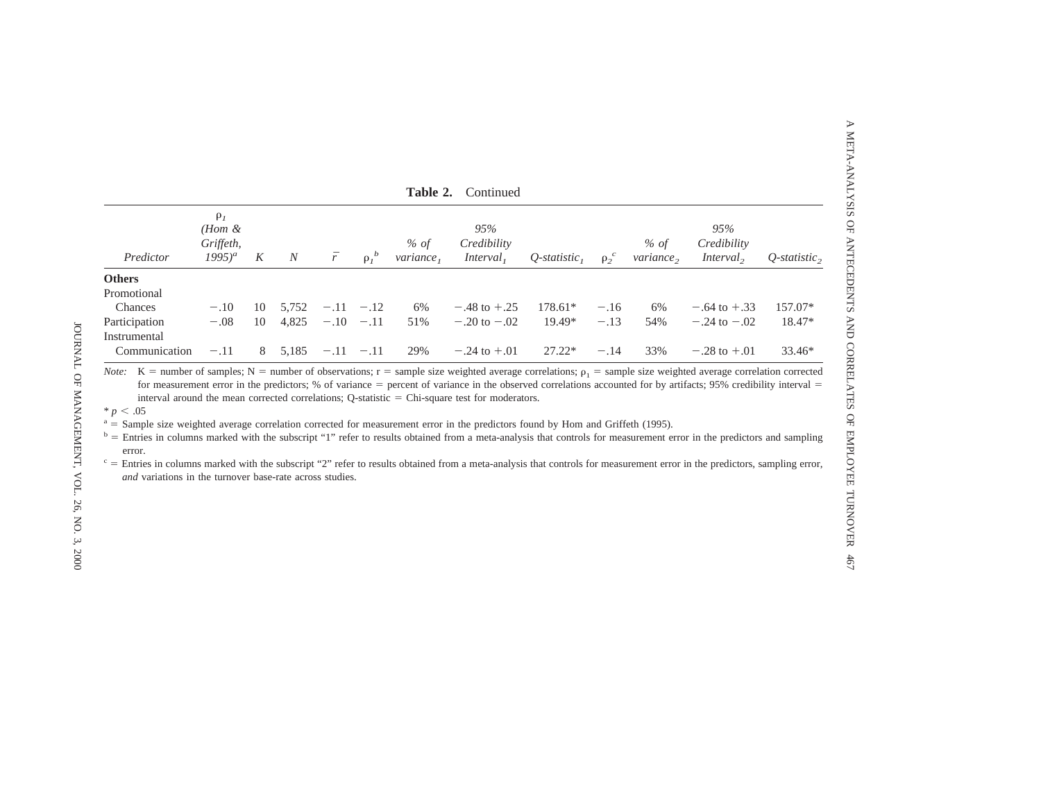|               | Table 2.<br>Continued                          |    |       |              |            |                               |                                 |                 |            |                   |                                         |                 |  |
|---------------|------------------------------------------------|----|-------|--------------|------------|-------------------------------|---------------------------------|-----------------|------------|-------------------|-----------------------------------------|-----------------|--|
| Predictor     | $\rho_I$<br>(Hom &<br>Griffeth,<br>$1995)^{a}$ | K  | N     | $\bar{r}$    | $\rho_I^b$ | % of<br>variance <sub>1</sub> | 95%<br>Credibility<br>Interval, | $O$ -statistic, | $\rho_2^c$ | % of<br>variance, | 95%<br>Credibility<br><i>Interval</i> , | $Q$ -statistic, |  |
| <b>Others</b> |                                                |    |       |              |            |                               |                                 |                 |            |                   |                                         |                 |  |
| Promotional   |                                                |    |       |              |            |                               |                                 |                 |            |                   |                                         |                 |  |
| Chances       | $-.10$                                         | 10 | 5.752 | $-.11 - .12$ |            | 6%                            | $-.48$ to $+.25$                | $178.61*$       | $-.16$     | 6%                | $-.64$ to $+.33$                        | 157.07*         |  |
| Participation | $-.08$                                         | 10 | 4,825 | $-.10-.11$   |            | 51%                           | $-.20 \text{ to } -.02$         | $19.49*$        | $-.13$     | 54%               | $-.24$ to $-.02$                        | $18.47*$        |  |
| Instrumental  |                                                |    |       |              |            |                               |                                 |                 |            |                   |                                         |                 |  |
| Communication | $-.11$                                         | 8  | 5,185 | $-.11 - .11$ |            | 29%                           | $-.24$ to $+.01$                | $27.22*$        | $-.14$     | 33%               | $-.28$ to $+.01$                        | 33.46*          |  |

*Note:*  $K =$  number of samples;  $N =$  number of observations;  $r =$  sample size weighted average correlations;  $\rho_1 =$  sample size weighted average correlation corrected for measurement error in the predictors; % of variance = percent of variance in the observed correlations accounted for by artifacts; 95% credibility interval =  $\frac{1}{2}$ interval around the mean corrected correlations;  $Q$ -statistic  $=$  Chi-square test for moderators.

 $* p < .05$ <br> $h = 0.05$ 

<sup>a</sup> = Sample size weighted average correlation corrected for measurement error in the predictors found by Hom and Griffeth (1995).

 $b =$  Entries in columns marked with the subscript "1" refer to results obtained from a meta-analysis that controls for measurement error in the predictors and sampling error.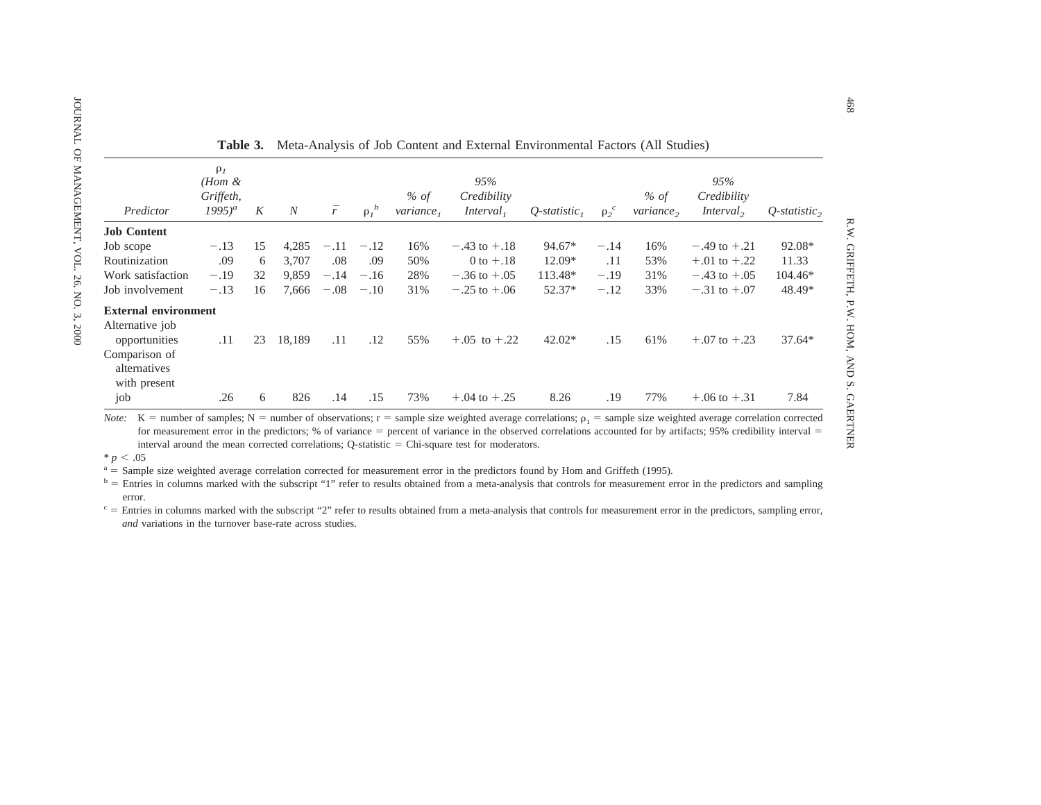| Predictor                                                                                                        | $\rho_I$<br>(Hom &<br>Griffeth,<br>$1995)^{a}$ | K  | N      | $\bar{r}$ | $\rho_I^b$ | % of<br>variance, | 95%<br>Credibility<br>Interval, | $Q$ -statistic, | $\rho_2^c$ | $%$ of<br>variance, | 95%<br>Credibility<br>Interval, | $Q$ -statistic, |
|------------------------------------------------------------------------------------------------------------------|------------------------------------------------|----|--------|-----------|------------|-------------------|---------------------------------|-----------------|------------|---------------------|---------------------------------|-----------------|
| <b>Job Content</b>                                                                                               |                                                |    |        |           |            |                   |                                 |                 |            |                     |                                 |                 |
| Job scope                                                                                                        | $-.13$                                         | 15 | 4,285  | $-.11$    | $-.12$     | 16%               | $-.43$ to $+.18$                | 94.67*          | $-.14$     | 16%                 | $-.49$ to $+.21$                | 92.08*          |
| Routinization                                                                                                    | .09                                            | 6  | 3.707  | .08       | .09        | 50%               | 0 to $+.18$                     | $12.09*$        | .11        | 53%                 | $+.01$ to $+.22$                | 11.33           |
| Work satisfaction                                                                                                | $-.19$                                         | 32 | 9,859  | $-.14$    | $-.16$     | 28%               | $-.36$ to $+.05$                | 113.48*         | $-.19$     | 31%                 | $-.43$ to $+.05$                | $104.46*$       |
| Job involvement                                                                                                  | $-.13$                                         | 16 | 7.666  | $-.08$    | $-.10$     | 31%               | $-.25$ to $+.06$                | $52.37*$        | $-.12$     | 33%                 | $-.31$ to $+.07$                | 48.49*          |
| <b>External environment</b><br>Alternative job<br>opportunities<br>Comparison of<br>alternatives<br>with present | .11                                            | 23 | 18,189 | .11       | .12        | 55%               | $+.05$ to $+.22$                | $42.02*$        | .15        | 61%                 | $+.07 \text{ to }+.23$          | $37.64*$        |
| job                                                                                                              | .26                                            | 6  | 826    | .14       | .15        | 73%               | $+.04 \text{ to }+.25$          | 8.26            | .19        | 77%                 | $+.06 \text{ to }+.31$          | 7.84            |

**Table 3.** Meta-Analysis of Job Content and External Environmental Factors (All Studies)

*Note:*  $K =$  number of samples;  $N =$  number of observations;  $r =$  sample size weighted average correlations;  $\rho_1 =$  sample size weighted average correlation corrected for measurement error in the predictors; % of variance = percent of variance in the observed correlations accounted for by artifacts; 95% credibility interval = interval around the mean corrected correlations;  $Q$ -statistic  $=$  Chi-square test for moderators.

 $* p < .05$ <br> $h = 0.05$ 

<sup>a</sup> = Sample size weighted average correlation corrected for measurement error in the predictors found by Hom and Griffeth (1995).

 $b =$  Entries in columns marked with the subscript "1" refer to results obtained from a meta-analysis that controls for measurement error in the predictors and sampling error.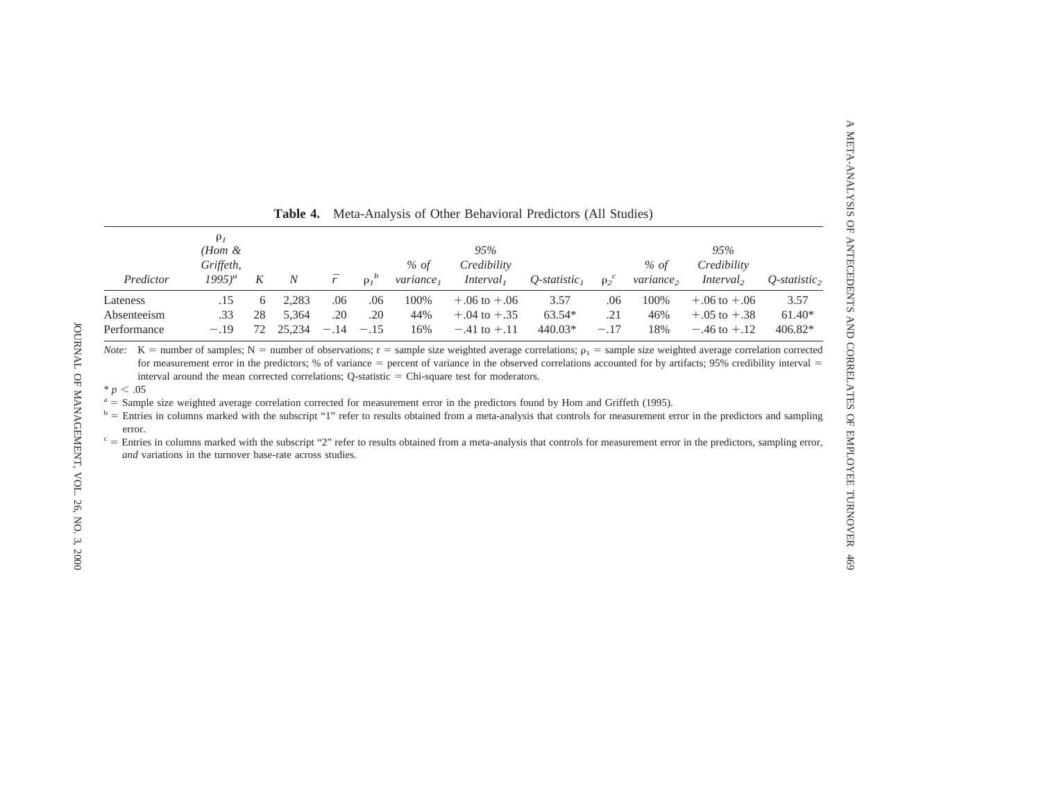**Table 4.** Meta-Analysis of Other Behavioral Predictors (All Studies)

|                                        |                            |    |                          | 95%                  |                      |                    |                                                                |                             |                     | 95%                |                                                          |                               |  |
|----------------------------------------|----------------------------|----|--------------------------|----------------------|----------------------|--------------------|----------------------------------------------------------------|-----------------------------|---------------------|--------------------|----------------------------------------------------------|-------------------------------|--|
| Predictor                              | Griffeth,<br>$1995)^{a}$   |    | Ν                        | ī.                   | $\rho_1^b$           | % of<br>variance,  | Credibility<br>Interval,                                       | $O$ -statistic,             | $\rho_2$            | % of<br>variance,  | Credibility<br><i>Interval</i> ,                         | $0$ -statistic                |  |
| Lateness<br>Absenteeism<br>Performance | .33 <sup>2</sup><br>$-.19$ | 28 | 2.283<br>5.364<br>25.234 | .06<br>.20<br>$-.14$ | .06<br>.20<br>$-.15$ | 100%<br>44%<br>16% | $+.06$ to $+.06$<br>$+.04 \text{ to }+.35$<br>$-.41$ to $+.11$ | 3.57<br>63.54*<br>$440.03*$ | .06<br>.21<br>$-17$ | 100%<br>46%<br>18% | $+.06$ to $+.06$<br>$+.05$ to $+.38$<br>$-.46$ to $+.12$ | 3.57<br>$61.40*$<br>$406.82*$ |  |

*Note:*  $K =$  number of samples;  $N =$  number of observations;  $r =$  sample size weighted average correlations;  $\rho_1 =$  sample size weighted average correlation corrected for measurement error in the predictors; % of variance = percent of variance in the observed correlations accounted for by artifacts; 95% credibility interval =  $\frac{1}{2}$ interval around the mean corrected correlations;  $Q$ -statistic  $=$  Chi-square test for moderators.

 $* p < .05$ <br> $h = 0.05$ 

<sup>a</sup> = Sample size weighted average correlation corrected for measurement error in the predictors found by Hom and Griffeth (1995).

 $b =$  Entries in columns marked with the subscript "1" refer to results obtained from a meta-analysis that controls for measurement error in the predictors and sampling error.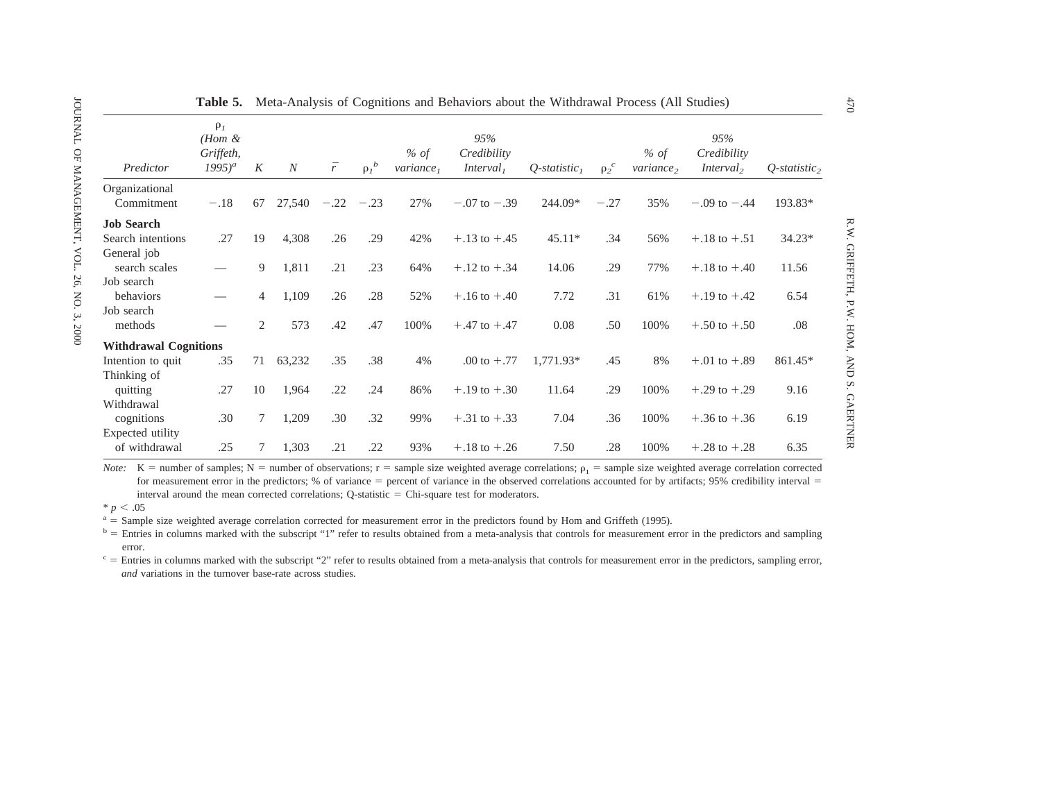| Predictor                    | $\rho_I$<br>(Hom &<br>Griffeth,<br>$(1995)^{a}$ | K              | $\boldsymbol{N}$ | $\bar{r}$ | $\rho_I^b$ | % of<br>variance <sub>i</sub> | 95%<br>Credibility<br>Interval <sub>1</sub> | $Q$ -statistic, | $\rho_2^c$ | % of<br>variance, | 95%<br>Credibility<br>Interval, | $Q$ -statistic, |
|------------------------------|-------------------------------------------------|----------------|------------------|-----------|------------|-------------------------------|---------------------------------------------|-----------------|------------|-------------------|---------------------------------|-----------------|
| Organizational               |                                                 |                |                  |           |            |                               |                                             |                 |            |                   |                                 |                 |
| Commitment                   | $-.18$                                          | 67             | 27,540           | $-.22$    | $-.23$     | 27%                           | $-.07$ to $-.39$                            | 244.09*         | $-.27$     | 35%               | $-.09$ to $-.44$                | 193.83*         |
| <b>Job Search</b>            |                                                 |                |                  |           |            |                               |                                             |                 |            |                   |                                 |                 |
| Search intentions            | .27                                             | 19             | 4,308            | .26       | .29        | 42%                           | $+.13$ to $+.45$                            | $45.11*$        | .34        | 56%               | $+.18 \text{ to }+.51$          | 34.23*          |
| General job                  |                                                 |                |                  |           |            |                               |                                             |                 |            |                   |                                 |                 |
| search scales                |                                                 | 9              | 1,811            | .21       | .23        | 64%                           | $+.12$ to $+.34$                            | 14.06           | .29        | 77%               | $+.18 \text{ to }+.40$          | 11.56           |
| Job search                   |                                                 |                |                  |           |            |                               |                                             |                 |            |                   |                                 |                 |
| behaviors                    |                                                 | $\overline{4}$ | 1,109            | .26       | .28        | 52%                           | $+.16 \text{ to }+.40$                      | 7.72            | .31        | 61%               | $+.19$ to $+.42$                | 6.54            |
| Job search                   |                                                 |                |                  |           |            |                               |                                             |                 |            |                   |                                 |                 |
| methods                      |                                                 | 2              | 573              | .42       | .47        | 100%                          | $+.47$ to $+.47$                            | 0.08            | .50        | 100%              | $+.50 \text{ to }+.50$          | .08             |
| <b>Withdrawal Cognitions</b> |                                                 |                |                  |           |            |                               |                                             |                 |            |                   |                                 |                 |
| Intention to quit            | .35                                             | 71             | 63,232           | .35       | .38        | 4%                            | $.00 \text{ to } +.77$                      | 1,771.93*       | .45        | 8%                | $+.01 \text{ to }+.89$          | 861.45*         |
| Thinking of                  |                                                 |                |                  |           |            |                               |                                             |                 |            |                   |                                 |                 |
| quitting                     | .27                                             | 10             | 1,964            | .22       | .24        | 86%                           | $+.19$ to $+.30$                            | 11.64           | .29        | 100%              | $+.29$ to $+.29$                | 9.16            |
| Withdrawal                   |                                                 |                |                  |           |            |                               |                                             |                 |            |                   |                                 |                 |
| cognitions                   | .30                                             | 7              | 1,209            | .30       | .32        | 99%                           | $+.31$ to $+.33$                            | 7.04            | .36        | 100%              | $+.36$ to $+.36$                | 6.19            |
| Expected utility             |                                                 |                |                  |           |            |                               |                                             |                 |            |                   |                                 |                 |
| of withdrawal                | .25                                             | 7              | 1,303            | .21       | .22        | 93%                           | $+.18 \text{ to }+.26$                      | 7.50            | .28        | 100%              | $+.28$ to $+.28$                | 6.35            |

**Table 5.** Meta-Analysis of Cognitions and Behaviors about the Withdrawal Process (All Studies)

*Note:*  $K =$  number of samples;  $N =$  number of observations;  $r =$  sample size weighted average correlations;  $\rho_1 =$  sample size weighted average correlation corrected for measurement error in the predictors; % of variance = percent of variance in the observed correlations accounted for by artifacts; 95% credibility interval =  $\frac{1}{2}$ interval around the mean corrected correlations;  $Q$ -statistic  $=$  Chi-square test for moderators.

 $* p < .05$ 

<sup>a</sup> = Sample size weighted average correlation corrected for measurement error in the predictors found by Hom and Griffeth (1995).

 $b =$  Entries in columns marked with the subscript "1" refer to results obtained from a meta-analysis that controls for measurement error in the predictors and sampling error.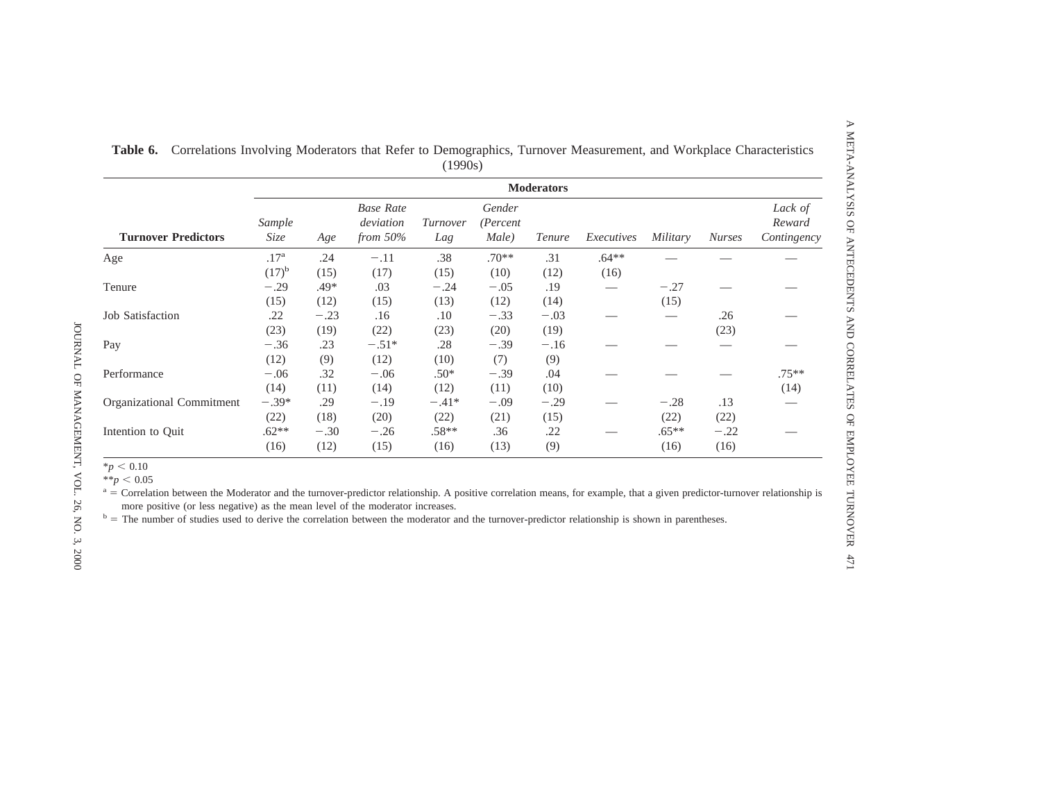|                            | <b>Moderators</b> |        |                                              |                 |                             |        |            |          |               |                                  |  |  |  |
|----------------------------|-------------------|--------|----------------------------------------------|-----------------|-----------------------------|--------|------------|----------|---------------|----------------------------------|--|--|--|
| <b>Turnover Predictors</b> | Sample<br>Size    | Age    | <b>Base Rate</b><br>deviation<br>from $50\%$ | Turnover<br>Lag | Gender<br>(Percent<br>Male) | Tenure | Executives | Military | <b>Nurses</b> | Lack of<br>Reward<br>Contingency |  |  |  |
| Age                        | .17 <sup>a</sup>  | .24    | $-.11$                                       | .38             | $.70**$                     | .31    | $.64**$    |          |               |                                  |  |  |  |
|                            | $(17)^{b}$        | (15)   | (17)                                         | (15)            | (10)                        | (12)   | (16)       |          |               |                                  |  |  |  |
| Tenure                     | $-.29$            | .49*   | .03                                          | $-.24$          | $-.05$                      | .19    |            | $-.27$   |               |                                  |  |  |  |
|                            | (15)              | (12)   | (15)                                         | (13)            | (12)                        | (14)   |            | (15)     |               |                                  |  |  |  |
| <b>Job Satisfaction</b>    | .22               | $-.23$ | .16                                          | .10             | $-.33$                      | $-.03$ |            |          | .26           |                                  |  |  |  |
|                            | (23)              | (19)   | (22)                                         | (23)            | (20)                        | (19)   |            |          | (23)          |                                  |  |  |  |
| Pay                        | $-.36$            | .23    | $-.51*$                                      | .28             | $-.39$                      | $-.16$ |            |          |               |                                  |  |  |  |
|                            | (12)              | (9)    | (12)                                         | (10)            | (7)                         | (9)    |            |          |               |                                  |  |  |  |
| Performance                | $-.06$            | .32    | $-.06$                                       | $.50*$          | $-.39$                      | .04    |            |          |               | $.75**$                          |  |  |  |
|                            | (14)              | (11)   | (14)                                         | (12)            | (11)                        | (10)   |            |          |               | (14)                             |  |  |  |
| Organizational Commitment  | $-.39*$           | .29    | $-.19$                                       | $-.41*$         | $-.09$                      | $-.29$ |            | $-.28$   | .13           |                                  |  |  |  |
|                            | (22)              | (18)   | (20)                                         | (22)            | (21)                        | (15)   |            | (22)     | (22)          |                                  |  |  |  |
| Intention to Quit          | $.62**$           | $-.30$ | $-.26$                                       | $.58**$         | .36                         | .22    |            | $.65**$  | $-.22$        |                                  |  |  |  |
|                            | (16)              | (12)   | (15)                                         | (16)            | (13)                        | (9)    |            | (16)     | (16)          |                                  |  |  |  |

| Table 6. Correlations Involving Moderators that Refer to Demographics, Turnover Measurement, and Workplace Characteristics |
|----------------------------------------------------------------------------------------------------------------------------|
| (1990s)                                                                                                                    |

 $*_{p} < 0.10$ 

 $*^*p < 0.05$ 

 $a =$ Correlation between the Moderator and the turnover-predictor relationship. A positive correlation means, for example, that a given predictor-turnover relationship is more positive (or less negative) as the mean level of the moderator increases.

 $b =$ The number of studies used to derive the correlation between the moderator and the turnover-predictor relationship is shown in parentheses.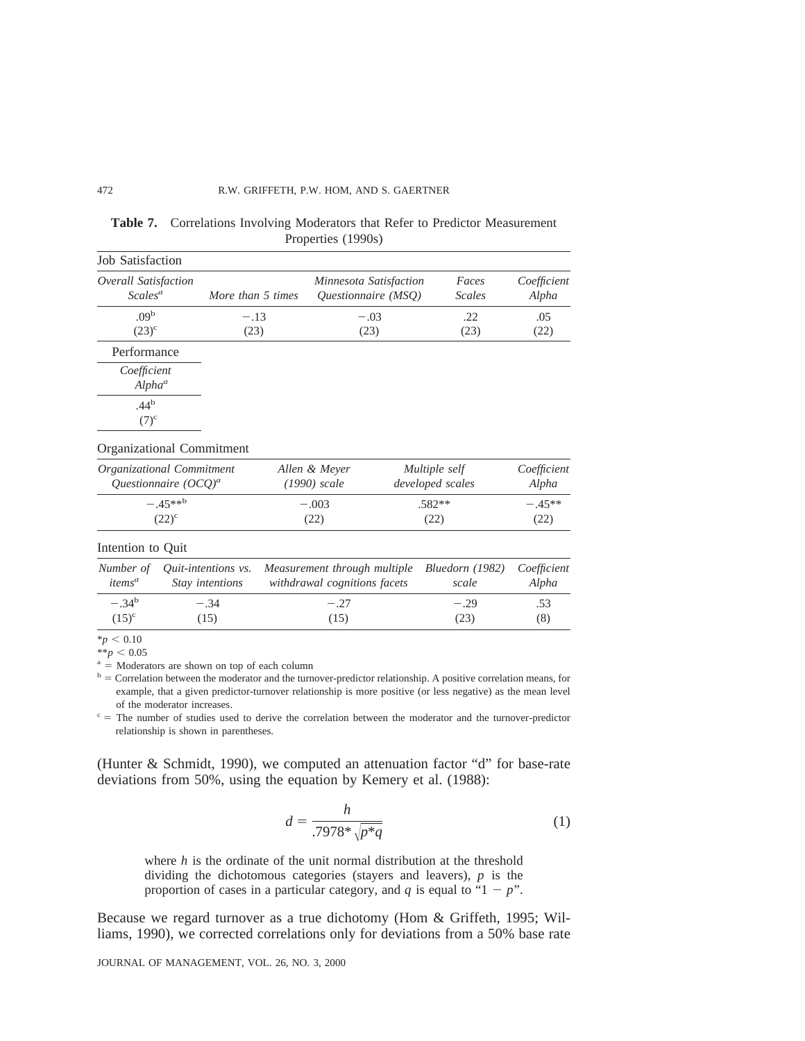| <b>Job Satisfaction</b>                     |                   |                                                      |                        |                      |
|---------------------------------------------|-------------------|------------------------------------------------------|------------------------|----------------------|
| Overall Satisfaction<br>Scales <sup>a</sup> | More than 5 times | Minnesota Satisfaction<br><i>Ouestionnaire (MSO)</i> | Faces<br><b>Scales</b> | Coefficient<br>Alpha |
| .09 <sup>b</sup><br>$(23)^{\circ}$          | $-.13$<br>(23)    | $-.03$<br>(23)                                       | .22<br>(23)            | .05<br>(22)          |
| Performance                                 |                   |                                                      |                        |                      |
| Coefficient<br>Alpha <sup>a</sup>           |                   |                                                      |                        |                      |
| .44 <sup>b</sup><br>$(7)^{\circ}$           |                   |                                                      |                        |                      |
| Organizational Commitment                   |                   |                                                      |                        |                      |
| Organizational Commitment                   |                   | Multiple self<br>Allen & Meyer                       |                        | Coefficient          |

**Table 7.** Correlations Involving Moderators that Refer to Predictor Measurement Properties (1990s)

| Organizational Commitment | Allen & Meyer | Multiple self    | Coefficient |
|---------------------------|---------------|------------------|-------------|
| Ouestionnaire $(OCO)^a$   | (1990) scale  | developed scales | Alpha       |
| $-45***^{b}$              | $-.003$       | $.582**$         | $-45**$     |
| $(22)^{\circ}$            | (22)          | (22)             | (22)        |

#### Intention to Quit

| Number of<br><i>items<sup>a</sup></i> | <i>Stay intentions</i> | <i>Ouit-intentions vs. Measurement through multiple Bluedorn (1982) Coefficient</i><br>withdrawal cognitions facets | scale  | Alpha |
|---------------------------------------|------------------------|---------------------------------------------------------------------------------------------------------------------|--------|-------|
| $-.34^{b}$                            | $-.34$                 | $-.27$                                                                                                              | $-.29$ | .53   |
| $(15)^{c}$                            | . 15)                  | (15)                                                                                                                | (23)   | (8)   |

 $*_{p}$  < 0.10

 $*$ *\*p*  $< 0.05$ 

 $a =$  Moderators are shown on top of each column

 $b =$  Correlation between the moderator and the turnover-predictor relationship. A positive correlation means, for example, that a given predictor-turnover relationship is more positive (or less negative) as the mean level of the moderator increases.

 $c =$  The number of studies used to derive the correlation between the moderator and the turnover-predictor relationship is shown in parentheses.

(Hunter & Schmidt, 1990), we computed an attenuation factor "d" for base-rate deviations from 50%, using the equation by Kemery et al. (1988):

$$
d = \frac{h}{.7978^* \sqrt{p^*q}}\tag{1}
$$

where *h* is the ordinate of the unit normal distribution at the threshold dividing the dichotomous categories (stayers and leavers), *p* is the proportion of cases in a particular category, and *q* is equal to " $1 - p$ ".

Because we regard turnover as a true dichotomy (Hom & Griffeth, 1995; Williams, 1990), we corrected correlations only for deviations from a 50% base rate

JOURNAL OF MANAGEMENT, VOL. 26, NO. 3, 2000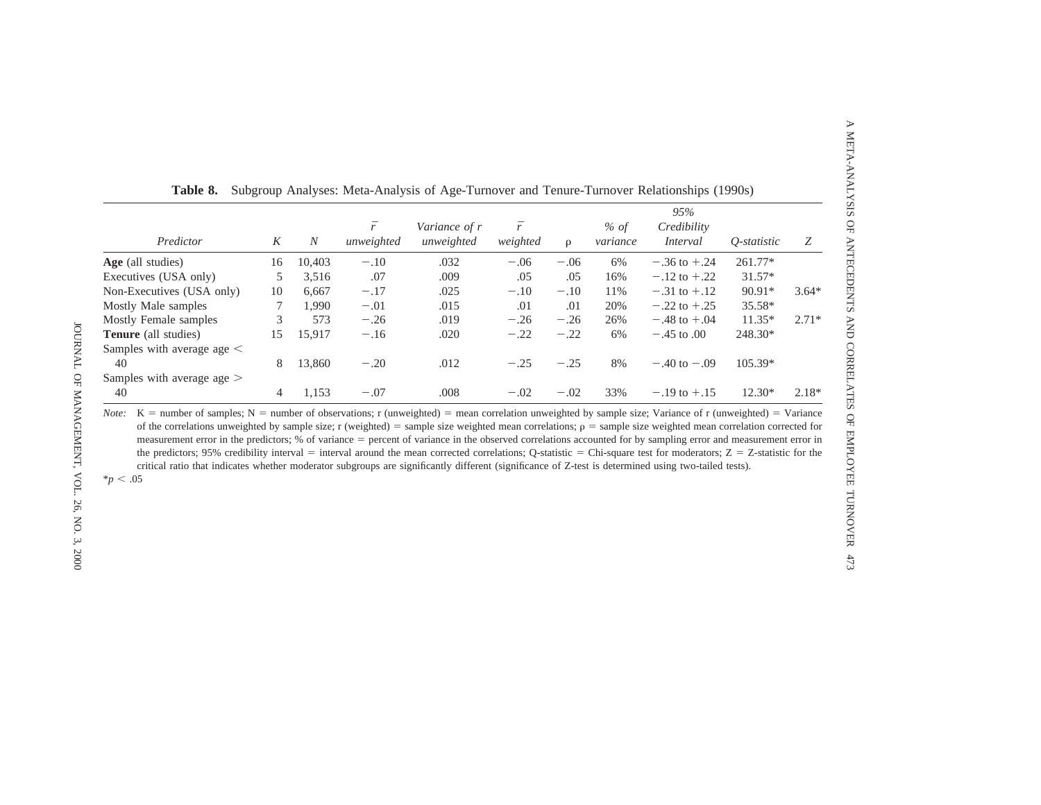| Predictor                      | K              | N      | $\bar{r}$<br>unweighted | Variance of r<br>unweighted | $\bar{r}$<br>weighted | $\rho$ | % of<br>variance | 95%<br>Credibility<br>Interval | O-statistic | Z       |
|--------------------------------|----------------|--------|-------------------------|-----------------------------|-----------------------|--------|------------------|--------------------------------|-------------|---------|
| Age (all studies)              | 16             | 10.403 | $-.10$                  | .032                        | $-.06$                | $-.06$ | 6%               | $-.36$ to $+.24$               | $261.77*$   |         |
| Executives (USA only)          | 5              | 3.516  | .07                     | .009                        | .05                   | .05    | 16%              | $-.12$ to $+.22$               | $31.57*$    |         |
| Non-Executives (USA only)      | 10             | 6.667  | $-.17$                  | .025                        | $-.10$                | $-.10$ | 11%              | $-.31$ to $+.12$               | $90.91*$    | $3.64*$ |
| Mostly Male samples            |                | 1,990  | $-.01$                  | .015                        | .01                   | .01    | 20%              | $-.22$ to $+.25$               | 35.58*      |         |
| Mostly Female samples          | 3              | 573    | $-.26$                  | .019                        | $-.26$                | $-.26$ | 26%              | $-.48$ to $+.04$               | $11.35*$    | $2.71*$ |
| <b>Tenure</b> (all studies)    | 15             | 15.917 | $-.16$                  | .020                        | $-.22$                | $-.22$ | 6%               | $-.45$ to 0.0                  | 248.30*     |         |
| Samples with average age $\lt$ |                |        |                         |                             |                       |        |                  |                                |             |         |
| 40                             | 8              | 13,860 | $-.20$                  | .012                        | $-.25$                | $-.25$ | 8%               | $-.40 \text{ to } -.09$        | $105.39*$   |         |
| Samples with average age $>$   |                |        |                         |                             |                       |        |                  |                                |             |         |
| 40                             | $\overline{4}$ | 1.153  | $-.07$                  | .008                        | $-.02$                | $-.02$ | 33%              | $-.19$ to $+.15$               | $12.30*$    | $2.18*$ |

**Table 8.** Subgroup Analyses: Meta-Analysis of Age-Turnover and Tenure-Turnover Relationships (1990s)

*Note:* K = number of samples; N = number of observations; r (unweighted) = mean correlation unweighted by sample size; Variance of r (unweighted) = Variance  $\frac{1}{2}$  and  $\frac{1}{2}$  and  $\frac{1}{2}$  and  $\frac{1}{2}$  and  $\frac{1}{2$ of the correlations unweighted by sample size; r (weighted) = sample size weighted mean correlations;  $\rho$  = sample size weighted mean correlation corrected for the correlation corrected for the correlation corrected for measurement error in the predictors; % of variance = percent of variance in the observed correlations accounted for by sampling error and measurement error in the predictors; 95% credibility interval = interval around the mean corrected correlations; Q-statistic = Chi-square test for moderators;  $Z = Z$ -statistic for the principal article is distinct that is distinct that is dist critical ratio that indicates whether moderator subgroups are significantly different (significance of Z-test is determined using two-tailed tests).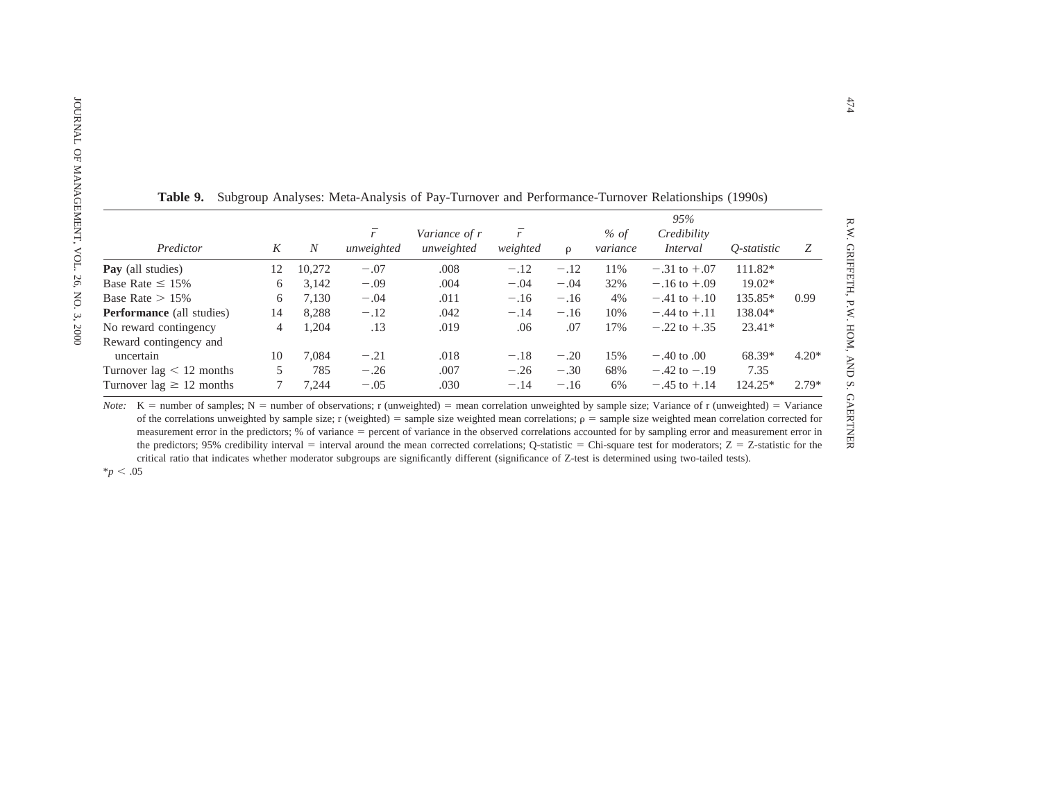| Predictor                            | K  | N      | $\bar{r}$<br>unweighted | Variance of r<br>unweighted | $\bar{r}$<br>weighted | $\Omega$ | $%$ of<br>variance | 95%<br>Credibility<br>Interval | O-statistic | Ζ       |
|--------------------------------------|----|--------|-------------------------|-----------------------------|-----------------------|----------|--------------------|--------------------------------|-------------|---------|
| <b>Pay</b> (all studies)             | 12 | 10,272 | $-.07$                  | .008                        | $-.12$                | $-.12$   | 11%                | $-.31$ to $+.07$               | 111.82*     |         |
| Base Rate $\leq 15\%$                | 6  | 3,142  | $-.09$                  | .004                        | $-.04$                | $-.04$   | 32%                | $-.16$ to $+.09$               | $19.02*$    |         |
| Base Rate $> 15\%$                   | 6  | 7.130  | $-.04$                  | .011                        | $-.16$                | $-.16$   | 4%                 | $-.41$ to $+.10$               | 135.85*     | 0.99    |
| <b>Performance</b> (all studies)     | 14 | 8.288  | $-.12$                  | .042                        | $-.14$                | $-.16$   | 10%                | $-.44$ to $+.11$               | 138.04*     |         |
| No reward contingency                | 4  | 1,204  | .13                     | .019                        | .06                   | .07      | 17%                | $-.22$ to $+.35$               | $23.41*$    |         |
| Reward contingency and               |    |        |                         |                             |                       |          |                    |                                |             |         |
| uncertain                            | 10 | 7.084  | $-.21$                  | .018                        | $-.18$                | $-.20$   | 15%                | $-.40$ to .00                  | 68.39*      | $4.20*$ |
| Turnover $\log$ < 12 months          | 5. | 785    | $-.26$                  | .007                        | $-.26$                | $-.30$   | 68%                | $-.42$ to $-.19$               | 7.35        |         |
| Turnover $\text{lag} \geq 12$ months |    | 7.244  | $-.05$                  | .030                        | $-.14$                | $-.16$   | 6%                 | $-.45$ to $+.14$               | 124.25*     | $2.79*$ |

**Table 9.** Subgroup Analyses: Meta-Analysis of Pay-Turnover and Performance-Turnover Relationships (1990s)

*Note:*  $K =$  number of samples;  $N =$  number of observations; r (unweighted) = mean correlation unweighted by sample size; Variance of r (unweighted) = Variance of the correlations unweighted by sample size; r (weighted) = sample size weighted mean correlations;  $\rho$  = sample size weighted mean correlation corrected for the correlation corrected for the correlation corrected for measurement error in the predictors; % of variance = percent of variance in the observed correlations accounted for by sampling error and measurement error in<br>the anglicity of  $\mathcal{L}_{\text{max}}$  and integral expanses the proce the predictors; 95% credibility interval = interval around the mean corrected correlations; Q-statistic = Chi-square test for moderators;  $Z = Z$ -statistic for the critical ratio that indicates whether moderator subgroups are significantly different (significance of Z-test is determined using two-tailed tests).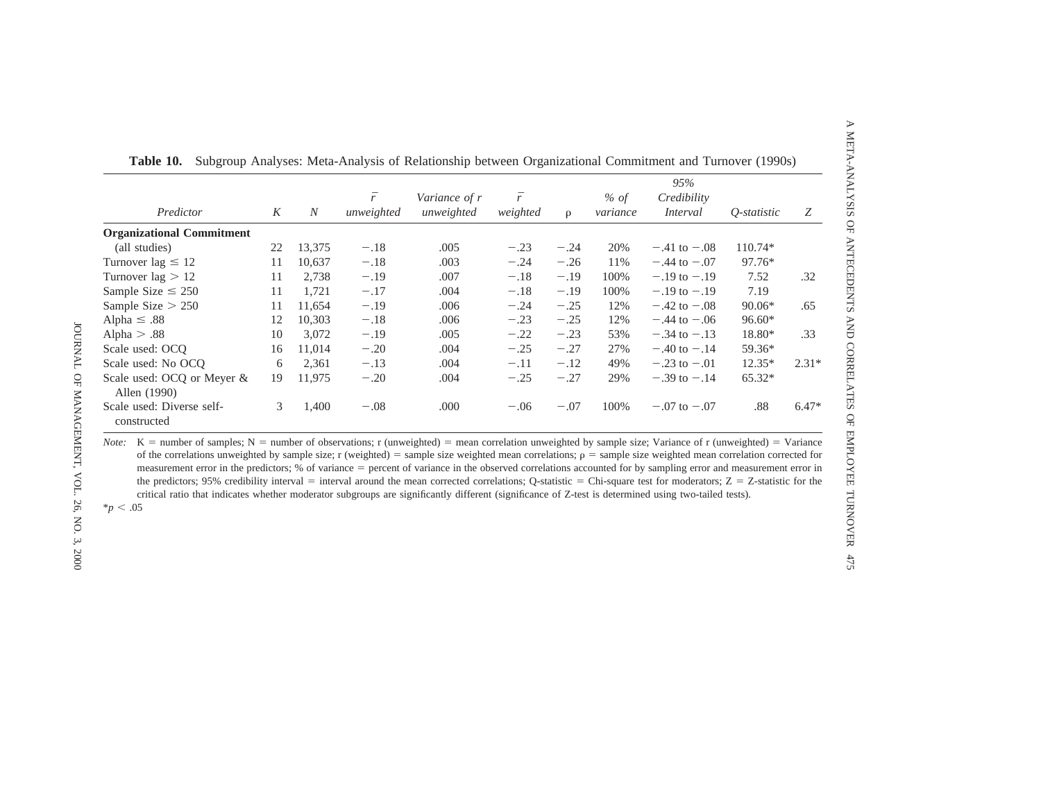|                                            |    |                  |            |               |           |        |          | 95%              |             |         |
|--------------------------------------------|----|------------------|------------|---------------|-----------|--------|----------|------------------|-------------|---------|
|                                            |    |                  | $\bar{r}$  | Variance of r | $\bar{r}$ |        | % of     | Credibility      |             |         |
| Predictor                                  | K  | $\boldsymbol{N}$ | unweighted | unweighted    | weighted  | $\rho$ | variance | <i>Interval</i>  | O-statistic | Z       |
| <b>Organizational Commitment</b>           |    |                  |            |               |           |        |          |                  |             |         |
| (all studies)                              | 22 | 13,375           | $-.18$     | .005          | $-.23$    | $-.24$ | 20%      | $-.41$ to $-.08$ | $110.74*$   |         |
| Turnover $\text{lag} \leq 12$              | 11 | 10,637           | $-.18$     | .003          | $-.24$    | $-.26$ | 11%      | $-.44$ to $-.07$ | 97.76*      |         |
| Turnover $\text{lag} > 12$                 | 11 | 2,738            | $-.19$     | .007          | $-.18$    | $-.19$ | 100%     | $-.19$ to $-.19$ | 7.52        | .32     |
| Sample Size $\leq 250$                     | 11 | 1,721            | $-.17$     | .004          | $-.18$    | $-.19$ | 100%     | $-.19$ to $-.19$ | 7.19        |         |
| Sample Size $> 250$                        | 11 | 11,654           | $-.19$     | .006          | $-.24$    | $-.25$ | 12%      | $-.42$ to $-.08$ | $90.06*$    | .65     |
| Alpha $\leq .88$                           | 12 | 10.303           | $-.18$     | .006          | $-.23$    | $-.25$ | 12%      | $-.44$ to $-.06$ | $96.60*$    |         |
| Alpha $> .88$                              | 10 | 3.072            | $-.19$     | .005          | $-.22$    | $-.23$ | 53%      | $-.34$ to $-.13$ | 18.80*      | .33     |
| Scale used: OCO                            | 16 | 11,014           | $-.20$     | .004          | $-.25$    | $-.27$ | 27%      | $-.40$ to $-.14$ | 59.36*      |         |
| Scale used: No OCO                         | 6  | 2,361            | $-.13$     | .004          | $-.11$    | $-.12$ | 49%      | $-.23$ to $-.01$ | $12.35*$    | $2.31*$ |
| Scale used: OCQ or Meyer &<br>Allen (1990) | 19 | 11,975           | $-.20$     | .004          | $-.25$    | $-.27$ | 29%      | $-.39$ to $-.14$ | $65.32*$    |         |
| Scale used: Diverse self-<br>constructed   | 3  | 1,400            | $-.08$     | .000          | $-.06$    | $-.07$ | 100%     | $-.07$ to $-.07$ | .88         | $6.47*$ |

**Table 10.** Subgroup Analyses: Meta-Analysis of Relationship between Organizational Commitment and Turnover (1990s)

*Note:* K = number of samples; N = number of observations; r (unweighted) = mean correlation unweighted by sample size; Variance of r (unweighted) = Variance  $\chi$ of the correlations unweighted by sample size; r (weighted) = sample size weighted mean correlations;  $\rho$  = sample size weighted mean corrected for measurement error in the predictors; % of variance = percent of variance in the observed correlations accounted for by sampling error and measurement error in the predictors; 95% credibility interval = interval around the mean corrected correlations; Q-statistic = Chi-square test for moderators;  $Z = Z$ -statistic for the principal article is distinct that is distinct that is dist critical ratio that indicates whether moderator subgroups are significantly different (significance of Z-test is determined using two-tailed tests).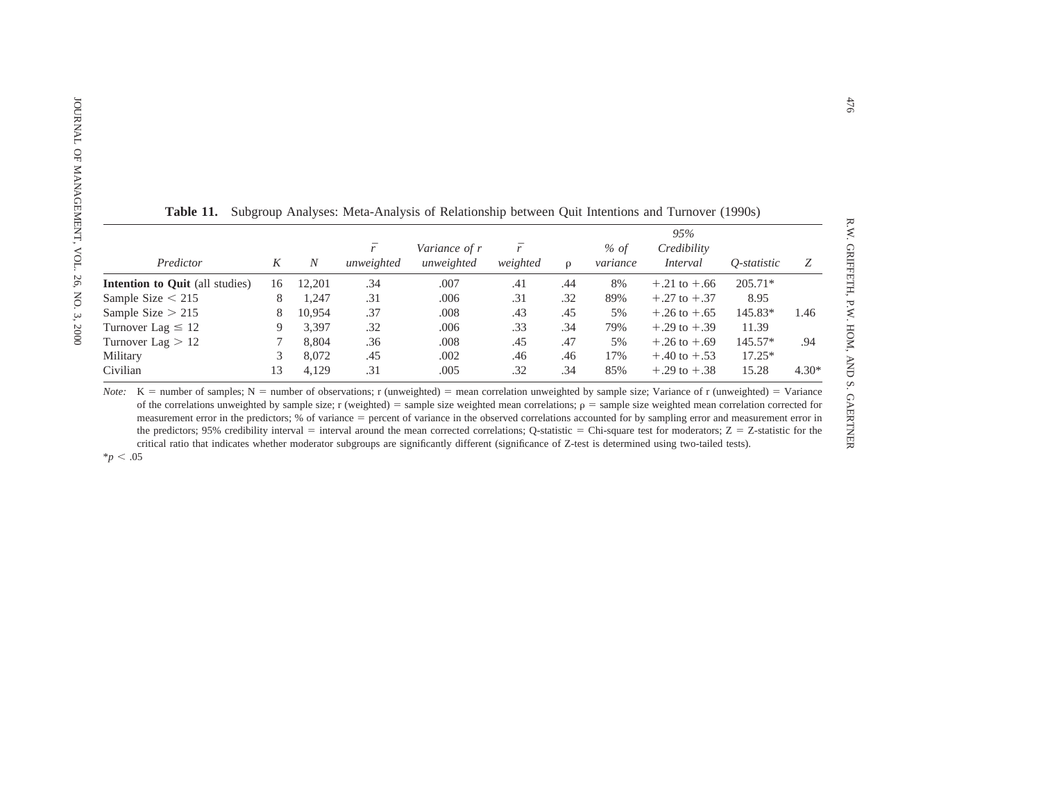|    |        | $\bar{r}$  | Variance of r | $\bar{r}$ |          | $%$ of   | 95%<br>Credibility     |             |         |
|----|--------|------------|---------------|-----------|----------|----------|------------------------|-------------|---------|
| Κ  | N      | unweighted | unweighted    | weighted  | $\Omega$ | variance | Interval               | O-statistic | Ζ       |
| 16 | 12,201 | .34        | .007          | .41       | .44      | 8%       | $+.21$ to $+.66$       | $205.71*$   |         |
| 8  | 1.247  | .31        | .006          | .31       | .32      | 89%      | $+.27$ to $+.37$       | 8.95        |         |
| 8  | 10.954 | .37        | .008          | .43       | .45      | 5%       | $+.26 \text{ to }+.65$ | 145.83*     | 1.46    |
| 9  | 3,397  | .32        | .006          | .33       | .34      | 79%      | $+.29$ to $+.39$       | 11.39       |         |
|    | 8.804  | .36        | .008          | .45       | .47      | 5%       | $+.26 \text{ to }+.69$ | $145.57*$   | .94     |
| 3  | 8.072  | .45        | .002          | .46       | .46      | 17%      | $+.40 \text{ to }+.53$ | $17.25*$    |         |
| 13 | 4.129  | .31        | .005          | .32       | .34      | 85%      | $+.29$ to $+.38$       | 15.28       | $4.30*$ |
|    |        |            |               |           |          |          |                        |             |         |

**Table 11.** Subgroup Analyses: Meta-Analysis of Relationship between Quit Intentions and Turnover (1990s)

*Note:* K = number of samples; N = number of observations; r (unweighted) = mean correlation unweighted by sample size; Variance of r (unweighted) = Variance  $\frac{1}{2}$  and  $\frac{1}{2}$  and  $\frac{1}{2}$  and  $\frac{1}{2}$  and  $\frac{1}{2$ of the correlations unweighted by sample size; r (weighted) = sample size weighted mean correlations;  $\rho$  = sample size weighted mean correlation corrected for the correlation corrected for the correlation corrected for measurement error in the predictors; % of variance = percent of variance in the observed correlations accounted for by sampling error and measurement error in the predictors; 95% credibility interval = interval around the mean corrected correlations; Q-statistic = Chi-square test for moderators;  $Z = Z$ -statistic for the principal article is distinct that is distinct that is dist critical ratio that indicates whether moderator subgroups are significantly different (significance of Z-test is determined using two-tailed tests).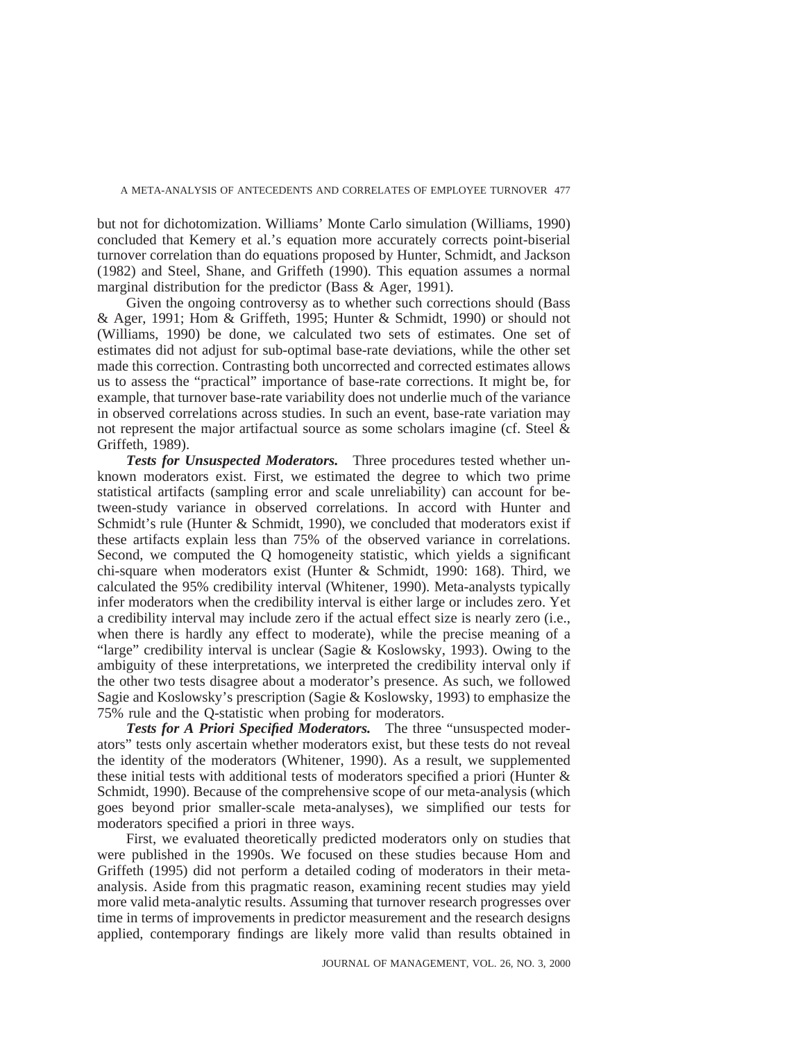but not for dichotomization. Williams' Monte Carlo simulation (Williams, 1990) concluded that Kemery et al.'s equation more accurately corrects point-biserial turnover correlation than do equations proposed by Hunter, Schmidt, and Jackson (1982) and Steel, Shane, and Griffeth (1990). This equation assumes a normal marginal distribution for the predictor (Bass & Ager, 1991).

Given the ongoing controversy as to whether such corrections should (Bass & Ager, 1991; Hom & Griffeth, 1995; Hunter & Schmidt, 1990) or should not (Williams, 1990) be done, we calculated two sets of estimates. One set of estimates did not adjust for sub-optimal base-rate deviations, while the other set made this correction. Contrasting both uncorrected and corrected estimates allows us to assess the "practical" importance of base-rate corrections. It might be, for example, that turnover base-rate variability does not underlie much of the variance in observed correlations across studies. In such an event, base-rate variation may not represent the major artifactual source as some scholars imagine (cf. Steel  $\&$ Griffeth, 1989).

*Tests for Unsuspected Moderators.* Three procedures tested whether unknown moderators exist. First, we estimated the degree to which two prime statistical artifacts (sampling error and scale unreliability) can account for between-study variance in observed correlations. In accord with Hunter and Schmidt's rule (Hunter & Schmidt, 1990), we concluded that moderators exist if these artifacts explain less than 75% of the observed variance in correlations. Second, we computed the Q homogeneity statistic, which yields a significant chi-square when moderators exist (Hunter & Schmidt, 1990: 168). Third, we calculated the 95% credibility interval (Whitener, 1990). Meta-analysts typically infer moderators when the credibility interval is either large or includes zero. Yet a credibility interval may include zero if the actual effect size is nearly zero (i.e., when there is hardly any effect to moderate), while the precise meaning of a "large" credibility interval is unclear (Sagie & Koslowsky, 1993). Owing to the ambiguity of these interpretations, we interpreted the credibility interval only if the other two tests disagree about a moderator's presence. As such, we followed Sagie and Koslowsky's prescription (Sagie & Koslowsky, 1993) to emphasize the 75% rule and the Q-statistic when probing for moderators.

*Tests for A Priori Specified Moderators.* The three "unsuspected moderators" tests only ascertain whether moderators exist, but these tests do not reveal the identity of the moderators (Whitener, 1990). As a result, we supplemented these initial tests with additional tests of moderators specified a priori (Hunter & Schmidt, 1990). Because of the comprehensive scope of our meta-analysis (which goes beyond prior smaller-scale meta-analyses), we simplified our tests for moderators specified a priori in three ways.

First, we evaluated theoretically predicted moderators only on studies that were published in the 1990s. We focused on these studies because Hom and Griffeth (1995) did not perform a detailed coding of moderators in their metaanalysis. Aside from this pragmatic reason, examining recent studies may yield more valid meta-analytic results. Assuming that turnover research progresses over time in terms of improvements in predictor measurement and the research designs applied, contemporary findings are likely more valid than results obtained in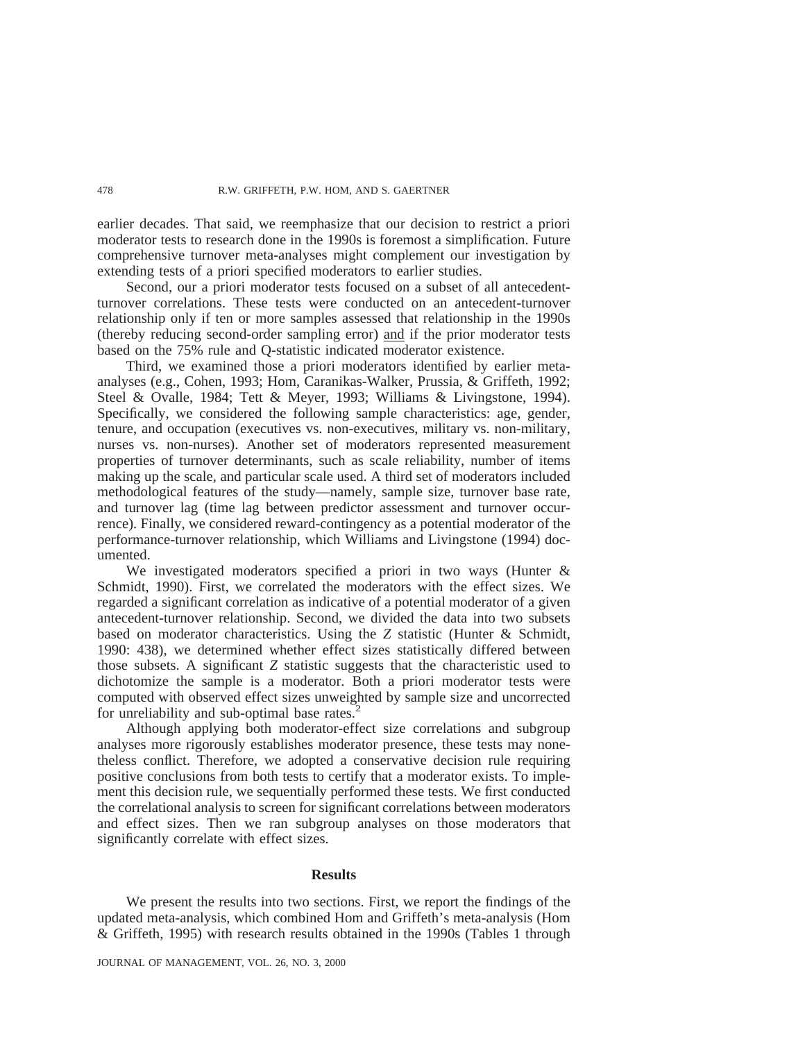earlier decades. That said, we reemphasize that our decision to restrict a priori moderator tests to research done in the 1990s is foremost a simplification. Future comprehensive turnover meta-analyses might complement our investigation by extending tests of a priori specified moderators to earlier studies.

Second, our a priori moderator tests focused on a subset of all antecedentturnover correlations. These tests were conducted on an antecedent-turnover relationship only if ten or more samples assessed that relationship in the 1990s (thereby reducing second-order sampling error) and if the prior moderator tests based on the 75% rule and Q-statistic indicated moderator existence.

Third, we examined those a priori moderators identified by earlier metaanalyses (e.g., Cohen, 1993; Hom, Caranikas-Walker, Prussia, & Griffeth, 1992; Steel & Ovalle, 1984; Tett & Meyer, 1993; Williams & Livingstone, 1994). Specifically, we considered the following sample characteristics: age, gender, tenure, and occupation (executives vs. non-executives, military vs. non-military, nurses vs. non-nurses). Another set of moderators represented measurement properties of turnover determinants, such as scale reliability, number of items making up the scale, and particular scale used. A third set of moderators included methodological features of the study—namely, sample size, turnover base rate, and turnover lag (time lag between predictor assessment and turnover occurrence). Finally, we considered reward-contingency as a potential moderator of the performance-turnover relationship, which Williams and Livingstone (1994) documented.

We investigated moderators specified a priori in two ways (Hunter & Schmidt, 1990). First, we correlated the moderators with the effect sizes. We regarded a significant correlation as indicative of a potential moderator of a given antecedent-turnover relationship. Second, we divided the data into two subsets based on moderator characteristics. Using the *Z* statistic (Hunter & Schmidt, 1990: 438), we determined whether effect sizes statistically differed between those subsets. A significant *Z* statistic suggests that the characteristic used to dichotomize the sample is a moderator. Both a priori moderator tests were computed with observed effect sizes unweighted by sample size and uncorrected for unreliability and sub-optimal base rates. $<sup>2</sup>$ </sup>

Although applying both moderator-effect size correlations and subgroup analyses more rigorously establishes moderator presence, these tests may nonetheless conflict. Therefore, we adopted a conservative decision rule requiring positive conclusions from both tests to certify that a moderator exists. To implement this decision rule, we sequentially performed these tests. We first conducted the correlational analysis to screen for significant correlations between moderators and effect sizes. Then we ran subgroup analyses on those moderators that significantly correlate with effect sizes.

## **Results**

We present the results into two sections. First, we report the findings of the updated meta-analysis, which combined Hom and Griffeth's meta-analysis (Hom & Griffeth, 1995) with research results obtained in the 1990s (Tables 1 through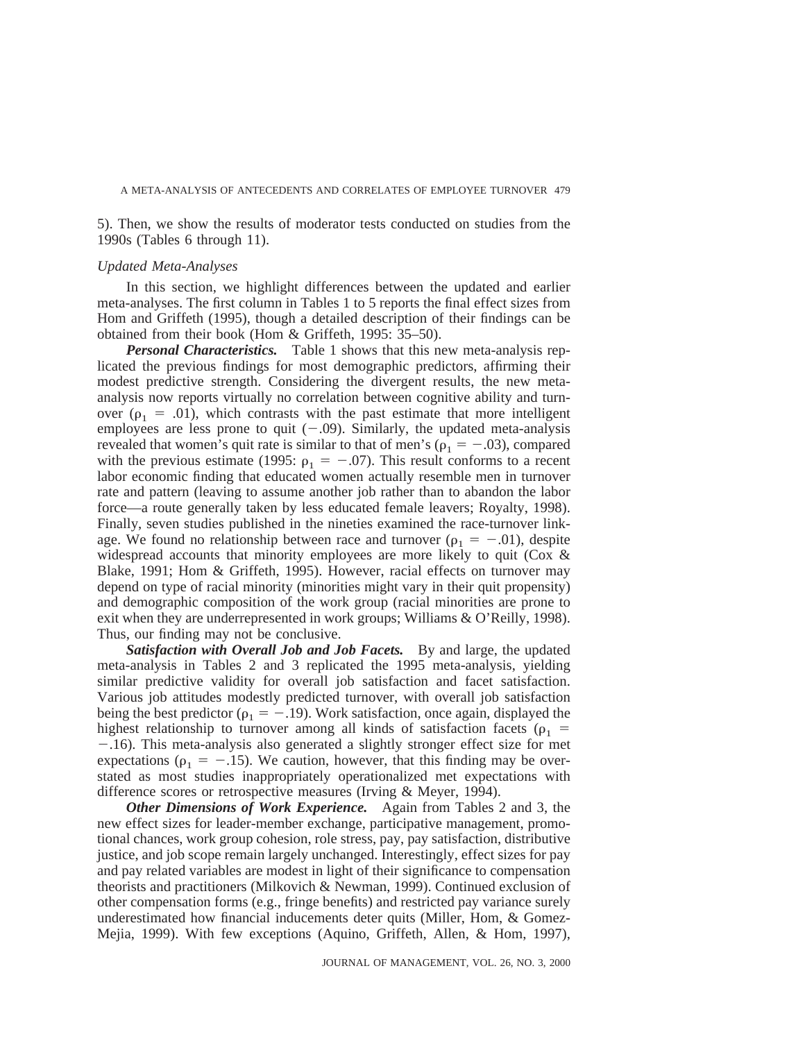5). Then, we show the results of moderator tests conducted on studies from the 1990s (Tables 6 through 11).

# *Updated Meta-Analyses*

In this section, we highlight differences between the updated and earlier meta-analyses. The first column in Tables 1 to 5 reports the final effect sizes from Hom and Griffeth (1995), though a detailed description of their findings can be obtained from their book (Hom & Griffeth, 1995: 35–50).

*Personal Characteristics.* Table 1 shows that this new meta-analysis replicated the previous findings for most demographic predictors, affirming their modest predictive strength. Considering the divergent results, the new metaanalysis now reports virtually no correlation between cognitive ability and turnover  $(p_1 = .01)$ , which contrasts with the past estimate that more intelligent employees are less prone to quit  $(-.09)$ . Similarly, the updated meta-analysis revealed that women's quit rate is similar to that of men's ( $\rho_1 = -.03$ ), compared with the previous estimate (1995:  $\rho_1 = -.07$ ). This result conforms to a recent labor economic finding that educated women actually resemble men in turnover rate and pattern (leaving to assume another job rather than to abandon the labor force—a route generally taken by less educated female leavers; Royalty, 1998). Finally, seven studies published in the nineties examined the race-turnover linkage. We found no relationship between race and turnover ( $\rho_1 = -.01$ ), despite widespread accounts that minority employees are more likely to quit (Cox & Blake, 1991; Hom & Griffeth, 1995). However, racial effects on turnover may depend on type of racial minority (minorities might vary in their quit propensity) and demographic composition of the work group (racial minorities are prone to exit when they are underrepresented in work groups; Williams & O'Reilly, 1998). Thus, our finding may not be conclusive.

*Satisfaction with Overall Job and Job Facets.* By and large, the updated meta-analysis in Tables 2 and 3 replicated the 1995 meta-analysis, yielding similar predictive validity for overall job satisfaction and facet satisfaction. Various job attitudes modestly predicted turnover, with overall job satisfaction being the best predictor ( $\rho_1 = -.19$ ). Work satisfaction, once again, displayed the highest relationship to turnover among all kinds of satisfaction facets ( $\rho_1$  =  $-16$ ). This meta-analysis also generated a slightly stronger effect size for met expectations ( $\rho_1 = -.15$ ). We caution, however, that this finding may be overstated as most studies inappropriately operationalized met expectations with difference scores or retrospective measures (Irving & Meyer, 1994).

*Other Dimensions of Work Experience.* Again from Tables 2 and 3, the new effect sizes for leader-member exchange, participative management, promotional chances, work group cohesion, role stress, pay, pay satisfaction, distributive justice, and job scope remain largely unchanged. Interestingly, effect sizes for pay and pay related variables are modest in light of their significance to compensation theorists and practitioners (Milkovich & Newman, 1999). Continued exclusion of other compensation forms (e.g., fringe benefits) and restricted pay variance surely underestimated how financial inducements deter quits (Miller, Hom, & Gomez-Mejia, 1999). With few exceptions (Aquino, Griffeth, Allen, & Hom, 1997),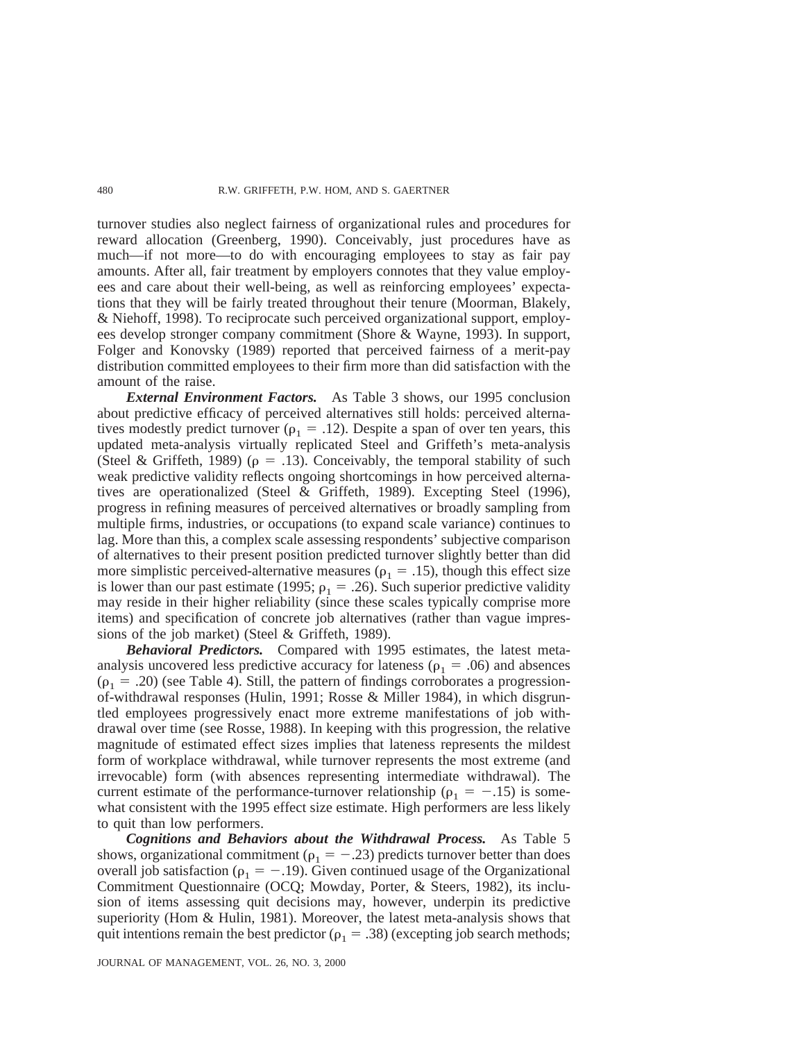turnover studies also neglect fairness of organizational rules and procedures for reward allocation (Greenberg, 1990). Conceivably, just procedures have as much—if not more—to do with encouraging employees to stay as fair pay amounts. After all, fair treatment by employers connotes that they value employees and care about their well-being, as well as reinforcing employees' expectations that they will be fairly treated throughout their tenure (Moorman, Blakely, & Niehoff, 1998). To reciprocate such perceived organizational support, employees develop stronger company commitment (Shore & Wayne, 1993). In support, Folger and Konovsky (1989) reported that perceived fairness of a merit-pay distribution committed employees to their firm more than did satisfaction with the amount of the raise.

*External Environment Factors.* As Table 3 shows, our 1995 conclusion about predictive efficacy of perceived alternatives still holds: perceived alternatives modestly predict turnover ( $\rho_1 = .12$ ). Despite a span of over ten years, this updated meta-analysis virtually replicated Steel and Griffeth's meta-analysis (Steel & Griffeth, 1989) ( $\rho = .13$ ). Conceivably, the temporal stability of such weak predictive validity reflects ongoing shortcomings in how perceived alternatives are operationalized (Steel & Griffeth, 1989). Excepting Steel (1996), progress in refining measures of perceived alternatives or broadly sampling from multiple firms, industries, or occupations (to expand scale variance) continues to lag. More than this, a complex scale assessing respondents' subjective comparison of alternatives to their present position predicted turnover slightly better than did more simplistic perceived-alternative measures ( $\rho_1 = .15$ ), though this effect size is lower than our past estimate (1995;  $\rho_1 = .26$ ). Such superior predictive validity may reside in their higher reliability (since these scales typically comprise more items) and specification of concrete job alternatives (rather than vague impressions of the job market) (Steel & Griffeth, 1989).

*Behavioral Predictors.* Compared with 1995 estimates, the latest metaanalysis uncovered less predictive accuracy for lateness ( $\rho_1 = .06$ ) and absences  $(p_1 = .20)$  (see Table 4). Still, the pattern of findings corroborates a progressionof-withdrawal responses (Hulin, 1991; Rosse & Miller 1984), in which disgruntled employees progressively enact more extreme manifestations of job withdrawal over time (see Rosse, 1988). In keeping with this progression, the relative magnitude of estimated effect sizes implies that lateness represents the mildest form of workplace withdrawal, while turnover represents the most extreme (and irrevocable) form (with absences representing intermediate withdrawal). The current estimate of the performance-turnover relationship ( $\rho_1 = -.15$ ) is somewhat consistent with the 1995 effect size estimate. High performers are less likely to quit than low performers.

*Cognitions and Behaviors about the Withdrawal Process.* As Table 5 shows, organizational commitment ( $\rho_1 = -.23$ ) predicts turnover better than does overall job satisfaction ( $\rho_1 = -.19$ ). Given continued usage of the Organizational Commitment Questionnaire (OCQ; Mowday, Porter, & Steers, 1982), its inclusion of items assessing quit decisions may, however, underpin its predictive superiority (Hom & Hulin, 1981). Moreover, the latest meta-analysis shows that quit intentions remain the best predictor ( $\rho_1 = .38$ ) (excepting job search methods;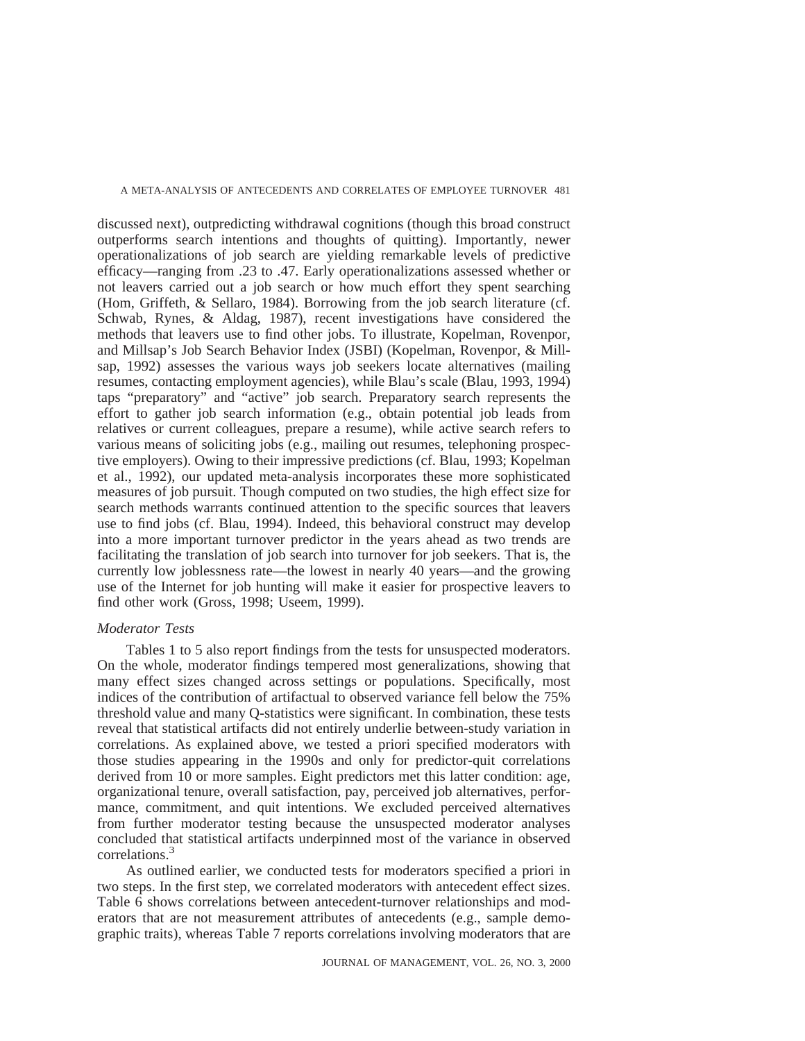discussed next), outpredicting withdrawal cognitions (though this broad construct outperforms search intentions and thoughts of quitting). Importantly, newer operationalizations of job search are yielding remarkable levels of predictive efficacy—ranging from .23 to .47. Early operationalizations assessed whether or not leavers carried out a job search or how much effort they spent searching (Hom, Griffeth, & Sellaro, 1984). Borrowing from the job search literature (cf. Schwab, Rynes, & Aldag, 1987), recent investigations have considered the methods that leavers use to find other jobs. To illustrate, Kopelman, Rovenpor, and Millsap's Job Search Behavior Index (JSBI) (Kopelman, Rovenpor, & Millsap, 1992) assesses the various ways job seekers locate alternatives (mailing resumes, contacting employment agencies), while Blau's scale (Blau, 1993, 1994) taps "preparatory" and "active" job search. Preparatory search represents the effort to gather job search information (e.g., obtain potential job leads from relatives or current colleagues, prepare a resume), while active search refers to various means of soliciting jobs (e.g., mailing out resumes, telephoning prospective employers). Owing to their impressive predictions (cf. Blau, 1993; Kopelman et al., 1992), our updated meta-analysis incorporates these more sophisticated measures of job pursuit. Though computed on two studies, the high effect size for search methods warrants continued attention to the specific sources that leavers use to find jobs (cf. Blau, 1994). Indeed, this behavioral construct may develop into a more important turnover predictor in the years ahead as two trends are facilitating the translation of job search into turnover for job seekers. That is, the currently low joblessness rate—the lowest in nearly 40 years—and the growing use of the Internet for job hunting will make it easier for prospective leavers to find other work (Gross, 1998; Useem, 1999).

## *Moderator Tests*

Tables 1 to 5 also report findings from the tests for unsuspected moderators. On the whole, moderator findings tempered most generalizations, showing that many effect sizes changed across settings or populations. Specifically, most indices of the contribution of artifactual to observed variance fell below the 75% threshold value and many Q-statistics were significant. In combination, these tests reveal that statistical artifacts did not entirely underlie between-study variation in correlations. As explained above, we tested a priori specified moderators with those studies appearing in the 1990s and only for predictor-quit correlations derived from 10 or more samples. Eight predictors met this latter condition: age, organizational tenure, overall satisfaction, pay, perceived job alternatives, performance, commitment, and quit intentions. We excluded perceived alternatives from further moderator testing because the unsuspected moderator analyses concluded that statistical artifacts underpinned most of the variance in observed correlations.<sup>3</sup>

As outlined earlier, we conducted tests for moderators specified a priori in two steps. In the first step, we correlated moderators with antecedent effect sizes. Table 6 shows correlations between antecedent-turnover relationships and moderators that are not measurement attributes of antecedents (e.g., sample demographic traits), whereas Table 7 reports correlations involving moderators that are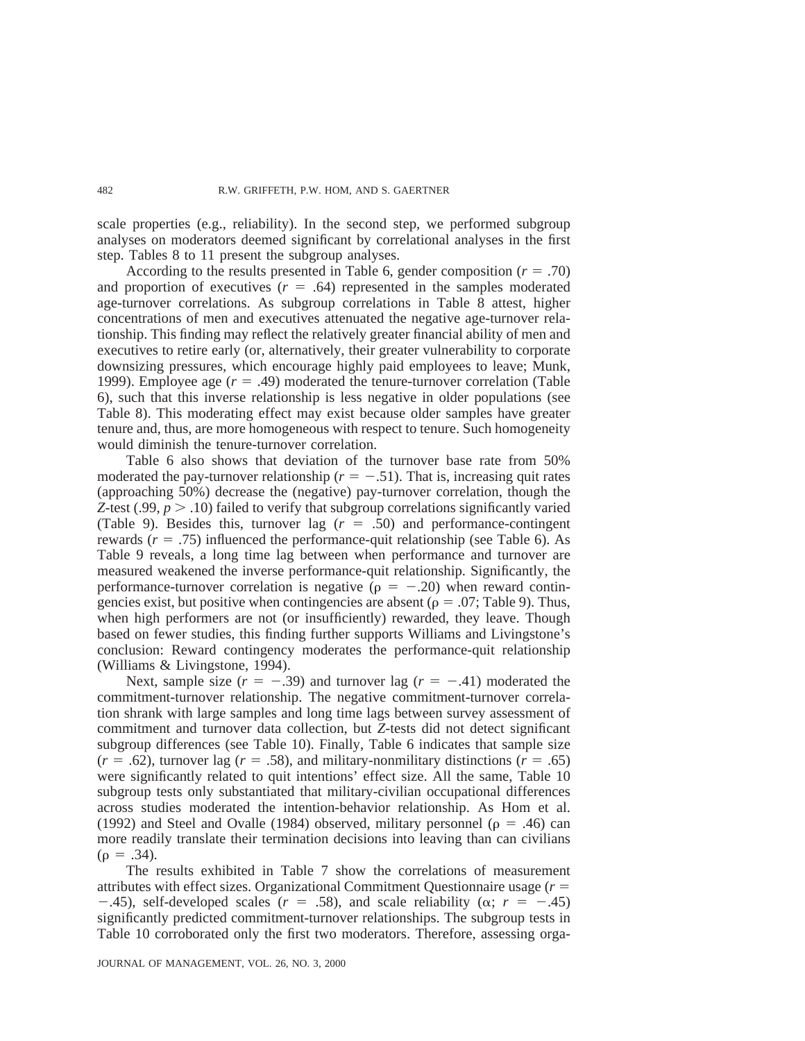scale properties (e.g., reliability). In the second step, we performed subgroup analyses on moderators deemed significant by correlational analyses in the first step. Tables 8 to 11 present the subgroup analyses.

According to the results presented in Table 6, gender composition  $(r = .70)$ and proportion of executives  $(r = .64)$  represented in the samples moderated age-turnover correlations. As subgroup correlations in Table 8 attest, higher concentrations of men and executives attenuated the negative age-turnover relationship. This finding may reflect the relatively greater financial ability of men and executives to retire early (or, alternatively, their greater vulnerability to corporate downsizing pressures, which encourage highly paid employees to leave; Munk, 1999). Employee age  $(r = .49)$  moderated the tenure-turnover correlation (Table 6), such that this inverse relationship is less negative in older populations (see Table 8). This moderating effect may exist because older samples have greater tenure and, thus, are more homogeneous with respect to tenure. Such homogeneity would diminish the tenure-turnover correlation.

Table 6 also shows that deviation of the turnover base rate from 50% moderated the pay-turnover relationship ( $r = -.51$ ). That is, increasing quit rates (approaching 50%) decrease the (negative) pay-turnover correlation, though the *Z*-test (.99,  $p > .10$ ) failed to verify that subgroup correlations significantly varied (Table 9). Besides this, turnover lag  $(r = .50)$  and performance-contingent rewards  $(r = .75)$  influenced the performance-quit relationship (see Table 6). As Table 9 reveals, a long time lag between when performance and turnover are measured weakened the inverse performance-quit relationship. Significantly, the performance-turnover correlation is negative  $(p=-.20)$  when reward contingencies exist, but positive when contingencies are absent ( $\rho = .07$ ; Table 9). Thus, when high performers are not (or insufficiently) rewarded, they leave. Though based on fewer studies, this finding further supports Williams and Livingstone's conclusion: Reward contingency moderates the performance-quit relationship (Williams & Livingstone, 1994).

Next, sample size  $(r = -.39)$  and turnover lag  $(r = -.41)$  moderated the commitment-turnover relationship. The negative commitment-turnover correlation shrank with large samples and long time lags between survey assessment of commitment and turnover data collection, but *Z*-tests did not detect significant subgroup differences (see Table 10). Finally, Table 6 indicates that sample size  $(r = .62)$ , turnover lag  $(r = .58)$ , and military-nonmilitary distinctions  $(r = .65)$ were significantly related to quit intentions' effect size. All the same, Table 10 subgroup tests only substantiated that military-civilian occupational differences across studies moderated the intention-behavior relationship. As Hom et al. (1992) and Steel and Ovalle (1984) observed, military personnel ( $\rho = .46$ ) can more readily translate their termination decisions into leaving than can civilians  $(\rho = .34)$ .

The results exhibited in Table 7 show the correlations of measurement attributes with effect sizes. Organizational Commitment Questionnaire usage (*r* 5  $-0.45$ ), self-developed scales ( $r = 0.58$ ), and scale reliability ( $\alpha$ ;  $r = -0.45$ ) significantly predicted commitment-turnover relationships. The subgroup tests in Table 10 corroborated only the first two moderators. Therefore, assessing orga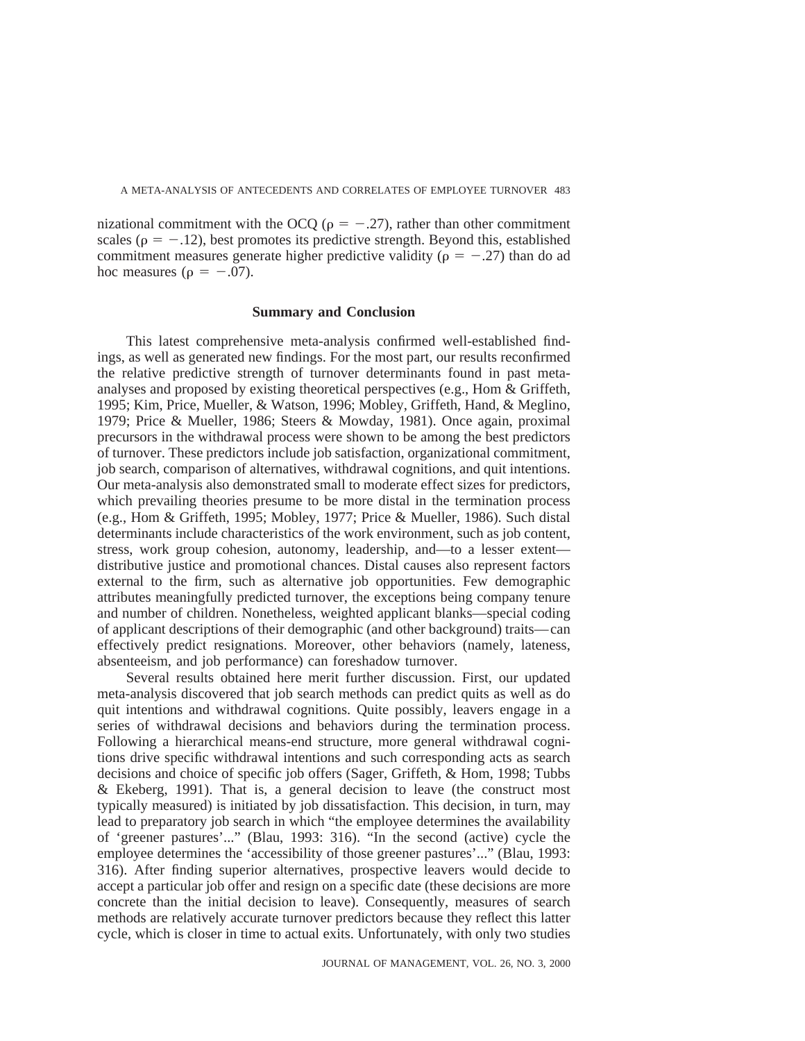nizational commitment with the OCQ ( $\rho = -.27$ ), rather than other commitment scales ( $p=-.12$ ), best promotes its predictive strength. Beyond this, established commitment measures generate higher predictive validity ( $\rho = -.27$ ) than do ad hoc measures ( $\rho=-.07$ ).

# **Summary and Conclusion**

This latest comprehensive meta-analysis confirmed well-established findings, as well as generated new findings. For the most part, our results reconfirmed the relative predictive strength of turnover determinants found in past metaanalyses and proposed by existing theoretical perspectives (e.g., Hom & Griffeth, 1995; Kim, Price, Mueller, & Watson, 1996; Mobley, Griffeth, Hand, & Meglino, 1979; Price & Mueller, 1986; Steers & Mowday, 1981). Once again, proximal precursors in the withdrawal process were shown to be among the best predictors of turnover. These predictors include job satisfaction, organizational commitment, job search, comparison of alternatives, withdrawal cognitions, and quit intentions. Our meta-analysis also demonstrated small to moderate effect sizes for predictors, which prevailing theories presume to be more distal in the termination process (e.g., Hom & Griffeth, 1995; Mobley, 1977; Price & Mueller, 1986). Such distal determinants include characteristics of the work environment, such as job content, stress, work group cohesion, autonomy, leadership, and—to a lesser extent distributive justice and promotional chances. Distal causes also represent factors external to the firm, such as alternative job opportunities. Few demographic attributes meaningfully predicted turnover, the exceptions being company tenure and number of children. Nonetheless, weighted applicant blanks—special coding of applicant descriptions of their demographic (and other background) traits—can effectively predict resignations. Moreover, other behaviors (namely, lateness, absenteeism, and job performance) can foreshadow turnover.

Several results obtained here merit further discussion. First, our updated meta-analysis discovered that job search methods can predict quits as well as do quit intentions and withdrawal cognitions. Quite possibly, leavers engage in a series of withdrawal decisions and behaviors during the termination process. Following a hierarchical means-end structure, more general withdrawal cognitions drive specific withdrawal intentions and such corresponding acts as search decisions and choice of specific job offers (Sager, Griffeth, & Hom, 1998; Tubbs & Ekeberg, 1991). That is, a general decision to leave (the construct most typically measured) is initiated by job dissatisfaction. This decision, in turn, may lead to preparatory job search in which "the employee determines the availability of 'greener pastures'..." (Blau, 1993: 316). "In the second (active) cycle the employee determines the 'accessibility of those greener pastures'..." (Blau, 1993: 316). After finding superior alternatives, prospective leavers would decide to accept a particular job offer and resign on a specific date (these decisions are more concrete than the initial decision to leave). Consequently, measures of search methods are relatively accurate turnover predictors because they reflect this latter cycle, which is closer in time to actual exits. Unfortunately, with only two studies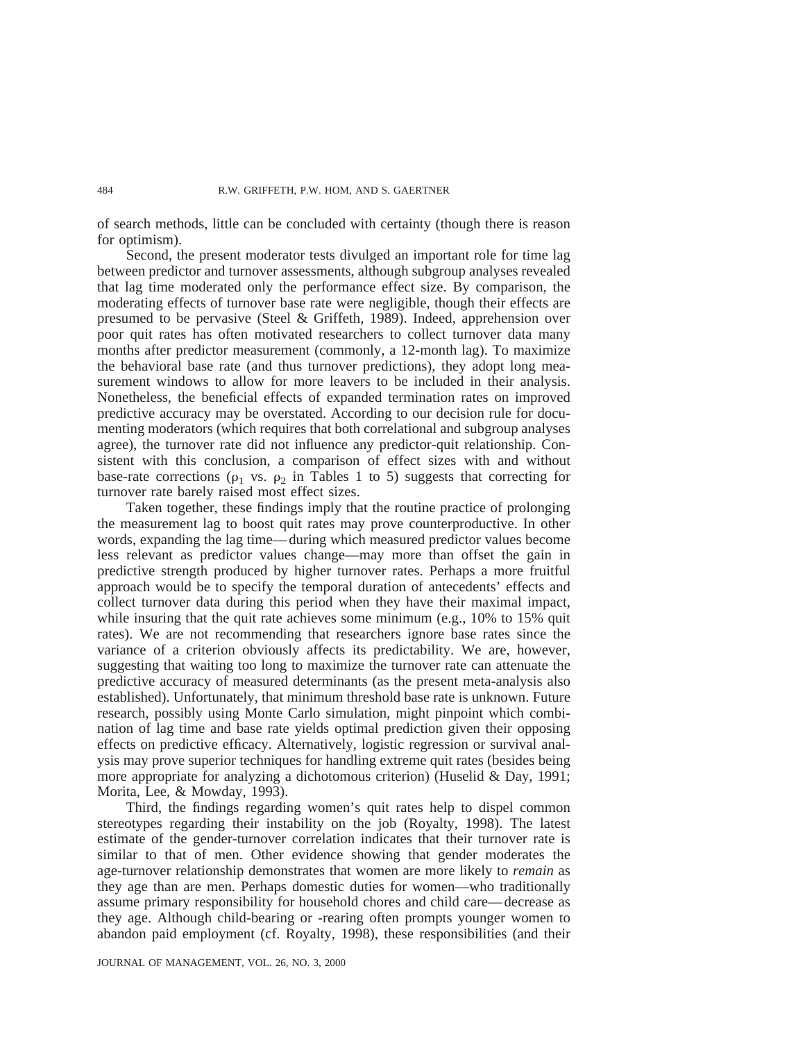of search methods, little can be concluded with certainty (though there is reason for optimism).

Second, the present moderator tests divulged an important role for time lag between predictor and turnover assessments, although subgroup analyses revealed that lag time moderated only the performance effect size. By comparison, the moderating effects of turnover base rate were negligible, though their effects are presumed to be pervasive (Steel & Griffeth, 1989). Indeed, apprehension over poor quit rates has often motivated researchers to collect turnover data many months after predictor measurement (commonly, a 12-month lag). To maximize the behavioral base rate (and thus turnover predictions), they adopt long measurement windows to allow for more leavers to be included in their analysis. Nonetheless, the beneficial effects of expanded termination rates on improved predictive accuracy may be overstated. According to our decision rule for documenting moderators (which requires that both correlational and subgroup analyses agree), the turnover rate did not influence any predictor-quit relationship. Consistent with this conclusion, a comparison of effect sizes with and without base-rate corrections ( $\rho_1$  vs.  $\rho_2$  in Tables 1 to 5) suggests that correcting for turnover rate barely raised most effect sizes.

Taken together, these findings imply that the routine practice of prolonging the measurement lag to boost quit rates may prove counterproductive. In other words, expanding the lag time—during which measured predictor values become less relevant as predictor values change—may more than offset the gain in predictive strength produced by higher turnover rates. Perhaps a more fruitful approach would be to specify the temporal duration of antecedents' effects and collect turnover data during this period when they have their maximal impact, while insuring that the quit rate achieves some minimum (e.g.,  $10\%$  to  $15\%$  quit rates). We are not recommending that researchers ignore base rates since the variance of a criterion obviously affects its predictability. We are, however, suggesting that waiting too long to maximize the turnover rate can attenuate the predictive accuracy of measured determinants (as the present meta-analysis also established). Unfortunately, that minimum threshold base rate is unknown. Future research, possibly using Monte Carlo simulation, might pinpoint which combination of lag time and base rate yields optimal prediction given their opposing effects on predictive efficacy. Alternatively, logistic regression or survival analysis may prove superior techniques for handling extreme quit rates (besides being more appropriate for analyzing a dichotomous criterion) (Huselid & Day, 1991; Morita, Lee, & Mowday, 1993).

Third, the findings regarding women's quit rates help to dispel common stereotypes regarding their instability on the job (Royalty, 1998). The latest estimate of the gender-turnover correlation indicates that their turnover rate is similar to that of men. Other evidence showing that gender moderates the age-turnover relationship demonstrates that women are more likely to *remain* as they age than are men. Perhaps domestic duties for women—who traditionally assume primary responsibility for household chores and child care—decrease as they age. Although child-bearing or -rearing often prompts younger women to abandon paid employment (cf. Royalty, 1998), these responsibilities (and their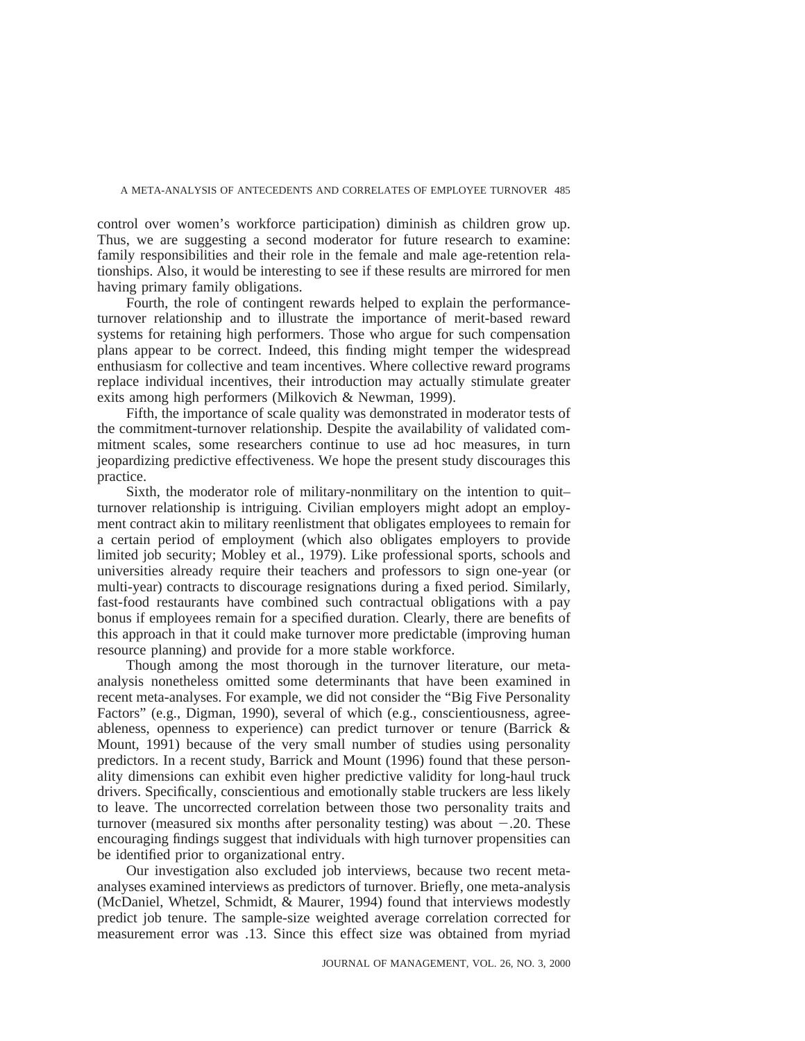control over women's workforce participation) diminish as children grow up. Thus, we are suggesting a second moderator for future research to examine: family responsibilities and their role in the female and male age-retention relationships. Also, it would be interesting to see if these results are mirrored for men having primary family obligations.

Fourth, the role of contingent rewards helped to explain the performanceturnover relationship and to illustrate the importance of merit-based reward systems for retaining high performers. Those who argue for such compensation plans appear to be correct. Indeed, this finding might temper the widespread enthusiasm for collective and team incentives. Where collective reward programs replace individual incentives, their introduction may actually stimulate greater exits among high performers (Milkovich & Newman, 1999).

Fifth, the importance of scale quality was demonstrated in moderator tests of the commitment-turnover relationship. Despite the availability of validated commitment scales, some researchers continue to use ad hoc measures, in turn jeopardizing predictive effectiveness. We hope the present study discourages this practice.

Sixth, the moderator role of military-nonmilitary on the intention to quit– turnover relationship is intriguing. Civilian employers might adopt an employment contract akin to military reenlistment that obligates employees to remain for a certain period of employment (which also obligates employers to provide limited job security; Mobley et al., 1979). Like professional sports, schools and universities already require their teachers and professors to sign one-year (or multi-year) contracts to discourage resignations during a fixed period. Similarly, fast-food restaurants have combined such contractual obligations with a pay bonus if employees remain for a specified duration. Clearly, there are benefits of this approach in that it could make turnover more predictable (improving human resource planning) and provide for a more stable workforce.

Though among the most thorough in the turnover literature, our metaanalysis nonetheless omitted some determinants that have been examined in recent meta-analyses. For example, we did not consider the "Big Five Personality Factors" (e.g., Digman, 1990), several of which (e.g., conscientiousness, agreeableness, openness to experience) can predict turnover or tenure (Barrick & Mount, 1991) because of the very small number of studies using personality predictors. In a recent study, Barrick and Mount (1996) found that these personality dimensions can exhibit even higher predictive validity for long-haul truck drivers. Specifically, conscientious and emotionally stable truckers are less likely to leave. The uncorrected correlation between those two personality traits and turnover (measured six months after personality testing) was about  $-.20$ . These encouraging findings suggest that individuals with high turnover propensities can be identified prior to organizational entry.

Our investigation also excluded job interviews, because two recent metaanalyses examined interviews as predictors of turnover. Briefly, one meta-analysis (McDaniel, Whetzel, Schmidt, & Maurer, 1994) found that interviews modestly predict job tenure. The sample-size weighted average correlation corrected for measurement error was .13. Since this effect size was obtained from myriad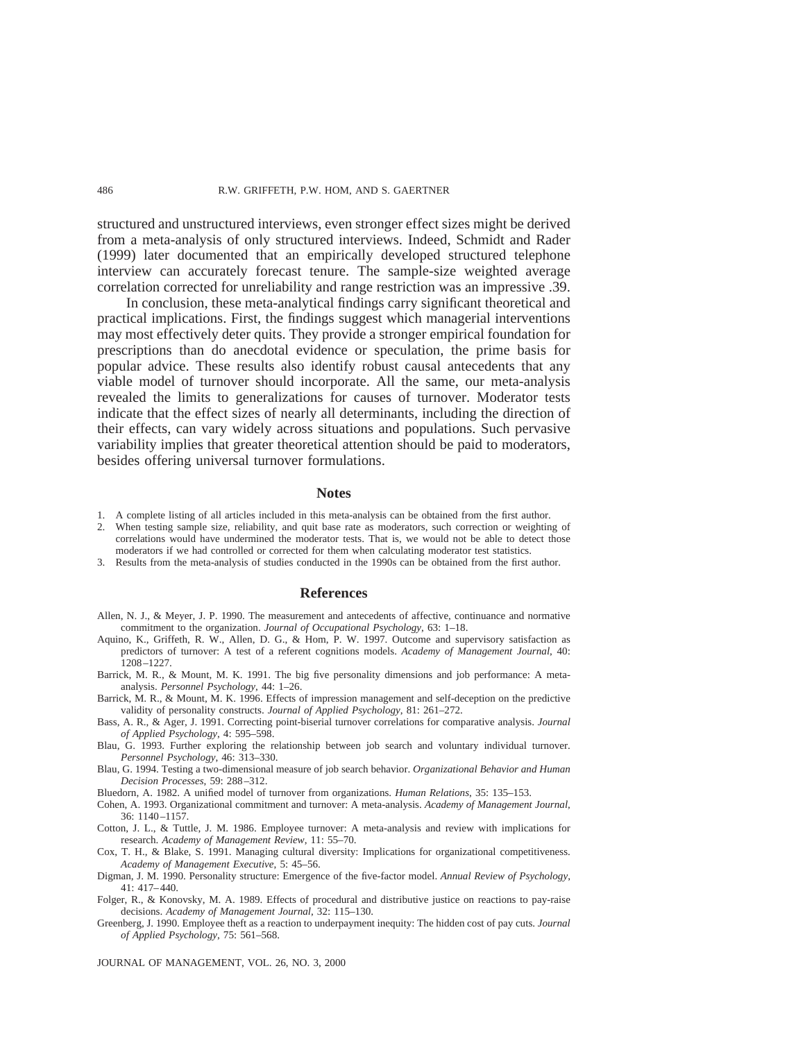structured and unstructured interviews, even stronger effect sizes might be derived from a meta-analysis of only structured interviews. Indeed, Schmidt and Rader (1999) later documented that an empirically developed structured telephone interview can accurately forecast tenure. The sample-size weighted average correlation corrected for unreliability and range restriction was an impressive .39.

In conclusion, these meta-analytical findings carry significant theoretical and practical implications. First, the findings suggest which managerial interventions may most effectively deter quits. They provide a stronger empirical foundation for prescriptions than do anecdotal evidence or speculation, the prime basis for popular advice. These results also identify robust causal antecedents that any viable model of turnover should incorporate. All the same, our meta-analysis revealed the limits to generalizations for causes of turnover. Moderator tests indicate that the effect sizes of nearly all determinants, including the direction of their effects, can vary widely across situations and populations. Such pervasive variability implies that greater theoretical attention should be paid to moderators, besides offering universal turnover formulations.

#### **Notes**

- 1. A complete listing of all articles included in this meta-analysis can be obtained from the first author.
- 2. When testing sample size, reliability, and quit base rate as moderators, such correction or weighting of correlations would have undermined the moderator tests. That is, we would not be able to detect those moderators if we had controlled or corrected for them when calculating moderator test statistics.
- 3. Results from the meta-analysis of studies conducted in the 1990s can be obtained from the first author.

## **References**

- Allen, N. J., & Meyer, J. P. 1990. The measurement and antecedents of affective, continuance and normative commitment to the organization. *Journal of Occupational Psychology*, 63: 1–18.
- Aquino, K., Griffeth, R. W., Allen, D. G., & Hom, P. W. 1997. Outcome and supervisory satisfaction as predictors of turnover: A test of a referent cognitions models. *Academy of Management Journal*, 40: 1208–1227.
- Barrick, M. R., & Mount, M. K. 1991. The big five personality dimensions and job performance: A metaanalysis. *Personnel Psychology*, 44: 1–26.
- Barrick, M. R., & Mount, M. K. 1996. Effects of impression management and self-deception on the predictive validity of personality constructs. *Journal of Applied Psychology*, 81: 261–272.
- Bass, A. R., & Ager, J. 1991. Correcting point-biserial turnover correlations for comparative analysis. *Journal of Applied Psychology*, 4: 595–598.
- Blau, G. 1993. Further exploring the relationship between job search and voluntary individual turnover. *Personnel Psychology*, 46: 313–330.
- Blau, G. 1994. Testing a two-dimensional measure of job search behavior. *Organizational Behavior and Human Decision Processes*, 59: 288–312.
- Bluedorn, A. 1982. A unified model of turnover from organizations. *Human Relations*, 35: 135–153.
- Cohen, A. 1993. Organizational commitment and turnover: A meta-analysis. *Academy of Management Journal*, 36: 1140–1157.
- Cotton, J. L., & Tuttle, J. M. 1986. Employee turnover: A meta-analysis and review with implications for research. *Academy of Management Review*, 11: 55–70.
- Cox, T. H., & Blake, S. 1991. Managing cultural diversity: Implications for organizational competitiveness. *Academy of Management Executive*, 5: 45–56.
- Digman, J. M. 1990. Personality structure: Emergence of the five-factor model. *Annual Review of Psychology*, 41: 417–440.
- Folger, R., & Konovsky, M. A. 1989. Effects of procedural and distributive justice on reactions to pay-raise decisions. *Academy of Management Journal*, 32: 115–130.
- Greenberg, J. 1990. Employee theft as a reaction to underpayment inequity: The hidden cost of pay cuts. *Journal of Applied Psychology*, 75: 561–568.

JOURNAL OF MANAGEMENT, VOL. 26, NO. 3, 2000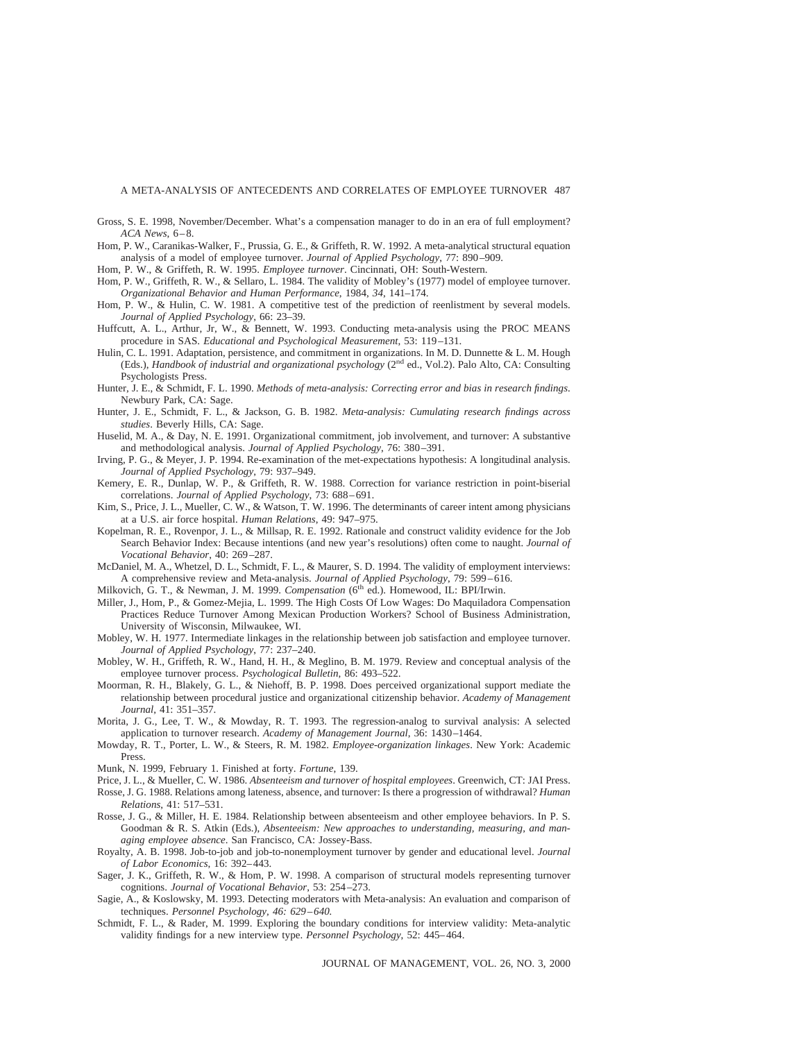A META-ANALYSIS OF ANTECEDENTS AND CORRELATES OF EMPLOYEE TURNOVER 487

- Gross, S. E. 1998, November/December. What's a compensation manager to do in an era of full employment? *ACA News*, 6–8.
- Hom, P. W., Caranikas-Walker, F., Prussia, G. E., & Griffeth, R. W. 1992. A meta-analytical structural equation analysis of a model of employee turnover. *Journal of Applied Psychology*, 77: 890–909.

Hom, P. W., & Griffeth, R. W. 1995. *Employee turnover*. Cincinnati, OH: South-Western.

- Hom, P. W., Griffeth, R. W., & Sellaro, L. 1984. The validity of Mobley's (1977) model of employee turnover. *Organizational Behavior and Human Performance*, 1984, *34*, 141–174.
- Hom, P. W., & Hulin, C. W. 1981. A competitive test of the prediction of reenlistment by several models. *Journal of Applied Psychology*, 66: 23–39.
- Huffcutt, A. L., Arthur, Jr, W., & Bennett, W. 1993. Conducting meta-analysis using the PROC MEANS procedure in SAS. *Educational and Psychological Measurement*, 53: 119–131.
- Hulin, C. L. 1991. Adaptation, persistence, and commitment in organizations. In M. D. Dunnette & L. M. Hough (Eds.), *Handbook of industrial and organizational psychology* (2<sup>nd</sup> ed., Vol.2). Palo Alto, CA: Consulting Psychologists Press.
- Hunter, J. E., & Schmidt, F. L. 1990. *Methods of meta-analysis: Correcting error and bias in research findings*. Newbury Park, CA: Sage.
- Hunter, J. E., Schmidt, F. L., & Jackson, G. B. 1982. *Meta-analysis: Cumulating research findings across studies*. Beverly Hills, CA: Sage.
- Huselid, M. A., & Day, N. E. 1991. Organizational commitment, job involvement, and turnover: A substantive and methodological analysis. *Journal of Applied Psychology*, 76: 380–391.
- Irving, P. G., & Meyer, J. P. 1994. Re-examination of the met-expectations hypothesis: A longitudinal analysis. *Journal of Applied Psychology*, 79: 937–949.
- Kemery, E. R., Dunlap, W. P., & Griffeth, R. W. 1988. Correction for variance restriction in point-biserial correlations. *Journal of Applied Psychology*, 73: 688–691.
- Kim, S., Price, J. L., Mueller, C. W., & Watson, T. W. 1996. The determinants of career intent among physicians at a U.S. air force hospital. *Human Relations*, 49: 947–975.
- Kopelman, R. E., Rovenpor, J. L., & Millsap, R. E. 1992. Rationale and construct validity evidence for the Job Search Behavior Index: Because intentions (and new year's resolutions) often come to naught. *Journal of Vocational Behavior*, 40: 269–287.
- McDaniel, M. A., Whetzel, D. L., Schmidt, F. L., & Maurer, S. D. 1994. The validity of employment interviews: A comprehensive review and Meta-analysis. *Journal of Applied Psychology*, 79: 599–616.
- Milkovich, G. T., & Newman, J. M. 1999. *Compensation* (6<sup>th</sup> ed.). Homewood, IL: BPI/Irwin.
- Miller, J., Hom, P., & Gomez-Mejia, L. 1999. The High Costs Of Low Wages: Do Maquiladora Compensation Practices Reduce Turnover Among Mexican Production Workers? School of Business Administration, University of Wisconsin, Milwaukee, WI.
- Mobley, W. H. 1977. Intermediate linkages in the relationship between job satisfaction and employee turnover. *Journal of Applied Psychology*, 77: 237–240.
- Mobley, W. H., Griffeth, R. W., Hand, H. H., & Meglino, B. M. 1979. Review and conceptual analysis of the employee turnover process. *Psychological Bulletin*, 86: 493–522.
- Moorman, R. H., Blakely, G. L., & Niehoff, B. P. 1998. Does perceived organizational support mediate the relationship between procedural justice and organizational citizenship behavior. *Academy of Management Journal*, 41: 351–357.
- Morita, J. G., Lee, T. W., & Mowday, R. T. 1993. The regression-analog to survival analysis: A selected application to turnover research. *Academy of Management Journal*, 36: 1430–1464.
- Mowday, R. T., Porter, L. W., & Steers, R. M. 1982. *Employee-organization linkages*. New York: Academic Press.
- Munk, N. 1999, February 1. Finished at forty. *Fortune*, 139.
- Price, J. L., & Mueller, C. W. 1986. *Absenteeism and turnover of hospital employees*. Greenwich, CT: JAI Press.
- Rosse, J. G. 1988. Relations among lateness, absence, and turnover: Is there a progression of withdrawal? *Human Relations*, 41: 517–531.
- Rosse, J. G., & Miller, H. E. 1984. Relationship between absenteeism and other employee behaviors. In P. S. Goodman & R. S. Atkin (Eds.), *Absenteeism: New approaches to understanding, measuring, and managing employee absence*. San Francisco, CA: Jossey-Bass.
- Royalty, A. B. 1998. Job-to-job and job-to-nonemployment turnover by gender and educational level. *Journal of Labor Economics*, 16: 392–443.
- Sager, J. K., Griffeth, R. W., & Hom, P. W. 1998. A comparison of structural models representing turnover cognitions. *Journal of Vocational Behavior*, 53: 254–273.
- Sagie, A., & Koslowsky, M. 1993. Detecting moderators with Meta-analysis: An evaluation and comparison of techniques. *Personnel Psychology, 46: 629–640.*
- Schmidt, F. L., & Rader, M. 1999. Exploring the boundary conditions for interview validity: Meta-analytic validity findings for a new interview type. *Personnel Psychology*, 52: 445–464.